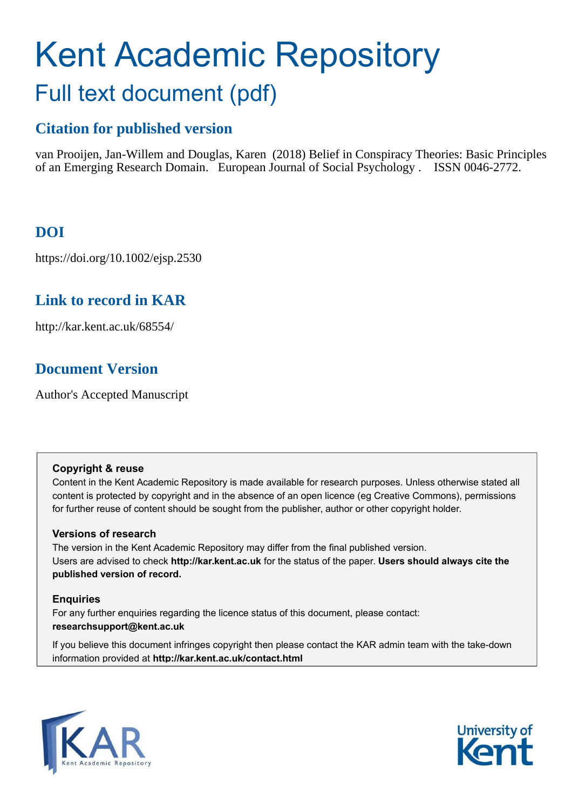# Kent Academic Repository Full text document (pdf)

# **Citation for published version**

van Prooijen, Jan-Willem and Douglas, Karen (2018) Belief in Conspiracy Theories: Basic Principles of an Emerging Research Domain. European Journal of Social Psychology . ISSN 0046-2772.

# **DOI**

https://doi.org/10.1002/ejsp.2530

# **Link to record in KAR**

http://kar.kent.ac.uk/68554/

# **Document Version**

Author's Accepted Manuscript

## **Copyright & reuse**

Content in the Kent Academic Repository is made available for research purposes. Unless otherwise stated all content is protected by copyright and in the absence of an open licence (eg Creative Commons), permissions for further reuse of content should be sought from the publisher, author or other copyright holder.

# **Versions of research**

The version in the Kent Academic Repository may differ from the final published version. Users are advised to check **http://kar.kent.ac.uk** for the status of the paper. **Users should always cite the published version of record.**

# **Enquiries**

For any further enquiries regarding the licence status of this document, please contact: **researchsupport@kent.ac.uk**

If you believe this document infringes copyright then please contact the KAR admin team with the take-down information provided at **http://kar.kent.ac.uk/contact.html**



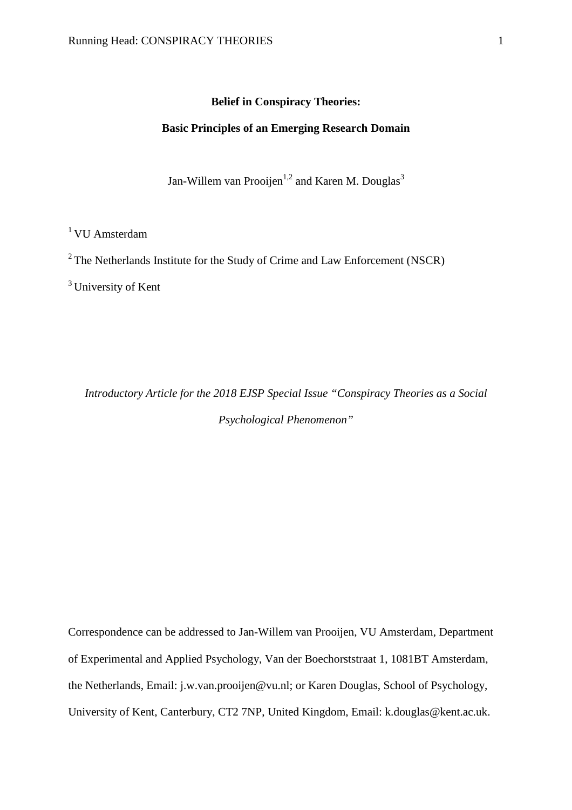# **Belief in Conspiracy Theories:**

#### **Basic Principles of an Emerging Research Domain**

Jan-Willem van Prooijen<sup>1,2</sup> and Karen M. Douglas<sup>3</sup>

<sup>1</sup> VU Amsterdam

<sup>2</sup> The Netherlands Institute for the Study of Crime and Law Enforcement (NSCR)

 $3$  University of Kent

*Introductory Article for the 2018 EJSP Special Issue "Conspiracy Theories as a Social Psychological Phenomenon"* 

Correspondence can be addressed to Jan-Willem van Prooijen, VU Amsterdam, Department of Experimental and Applied Psychology, Van der Boechorststraat 1, 1081BT Amsterdam, the Netherlands, Email: j.w.van.prooijen@vu.nl; or Karen Douglas, School of Psychology, University of Kent, Canterbury, CT2 7NP, United Kingdom, Email: [k.douglas@kent.ac.uk.](mailto:k.douglas@kent.ac.uk)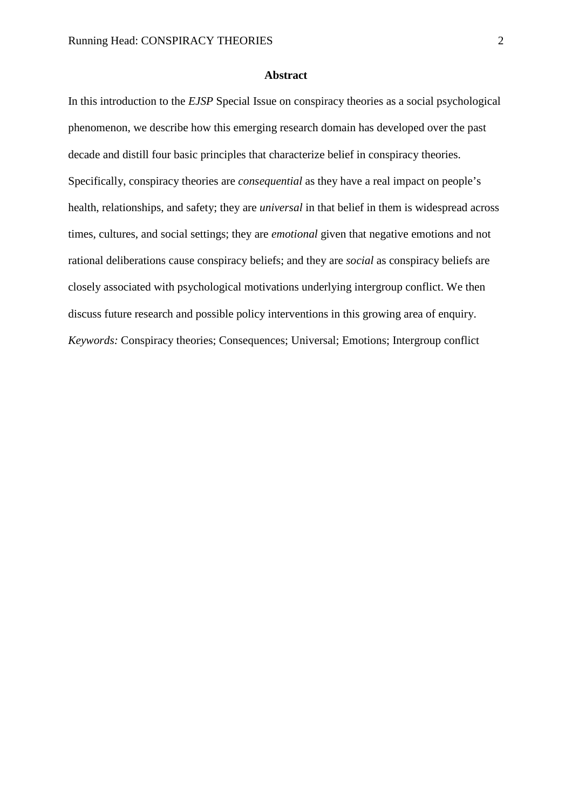#### **Abstract**

In this introduction to the *EJSP* Special Issue on conspiracy theories as a social psychological phenomenon, we describe how this emerging research domain has developed over the past decade and distill four basic principles that characterize belief in conspiracy theories. Specifically, conspiracy theories are *consequential* as they have a real impact on people's health, relationships, and safety; they are *universal* in that belief in them is widespread across times, cultures, and social settings; they are *emotional* given that negative emotions and not rational deliberations cause conspiracy beliefs; and they are *social* as conspiracy beliefs are closely associated with psychological motivations underlying intergroup conflict. We then discuss future research and possible policy interventions in this growing area of enquiry. *Keywords:* Conspiracy theories; Consequences; Universal; Emotions; Intergroup conflict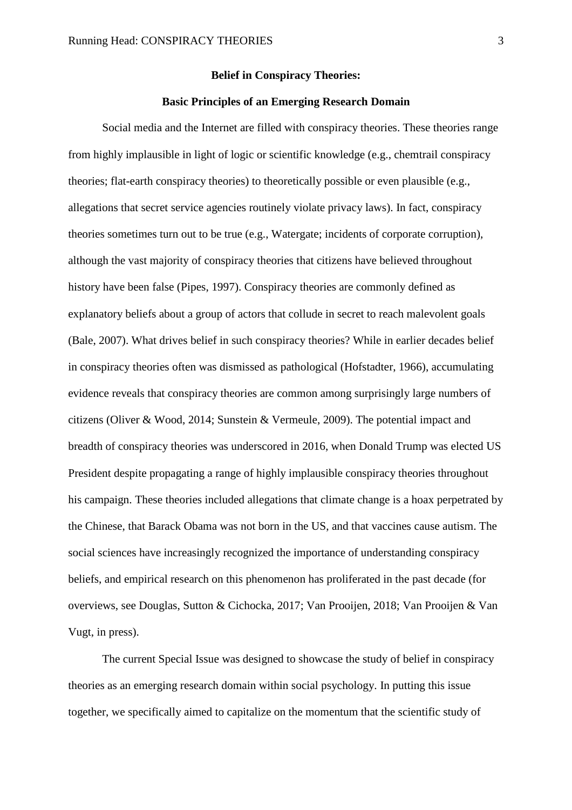# **Belief in Conspiracy Theories:**

#### **Basic Principles of an Emerging Research Domain**

Social media and the Internet are filled with conspiracy theories. These theories range from highly implausible in light of logic or scientific knowledge (e.g., chemtrail conspiracy theories; flat-earth conspiracy theories) to theoretically possible or even plausible (e.g., allegations that secret service agencies routinely violate privacy laws). In fact, conspiracy theories sometimes turn out to be true (e.g., Watergate; incidents of corporate corruption), although the vast majority of conspiracy theories that citizens have believed throughout history have been false (Pipes, 1997). Conspiracy theories are commonly defined as explanatory beliefs about a group of actors that collude in secret to reach malevolent goals (Bale, 2007). What drives belief in such conspiracy theories? While in earlier decades belief in conspiracy theories often was dismissed as pathological (Hofstadter, 1966), accumulating evidence reveals that conspiracy theories are common among surprisingly large numbers of citizens (Oliver & Wood, 2014; Sunstein & Vermeule, 2009). The potential impact and breadth of conspiracy theories was underscored in 2016, when Donald Trump was elected US President despite propagating a range of highly implausible conspiracy theories throughout his campaign. These theories included allegations that climate change is a hoax perpetrated by the Chinese, that Barack Obama was not born in the US, and that vaccines cause autism. The social sciences have increasingly recognized the importance of understanding conspiracy beliefs, and empirical research on this phenomenon has proliferated in the past decade (for overviews, see Douglas, Sutton & Cichocka, 2017; Van Prooijen, 2018; Van Prooijen & Van Vugt, in press).

The current Special Issue was designed to showcase the study of belief in conspiracy theories as an emerging research domain within social psychology. In putting this issue together, we specifically aimed to capitalize on the momentum that the scientific study of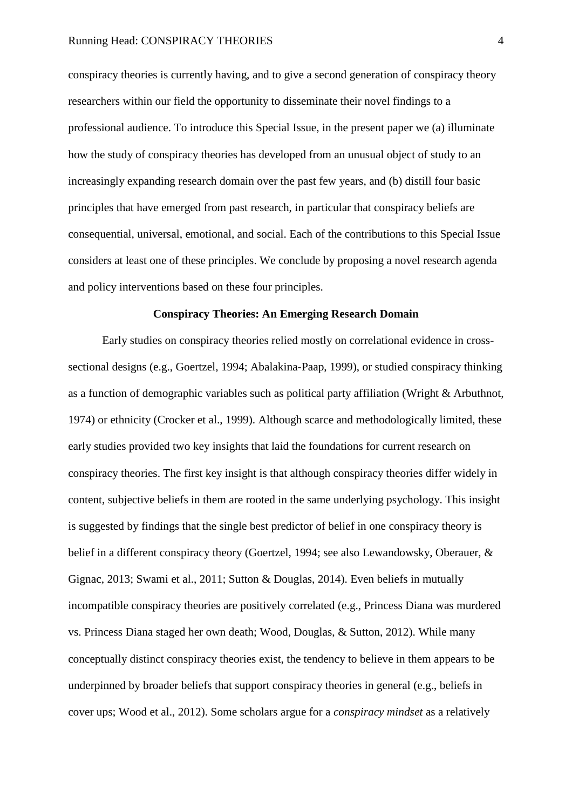conspiracy theories is currently having, and to give a second generation of conspiracy theory researchers within our field the opportunity to disseminate their novel findings to a professional audience. To introduce this Special Issue, in the present paper we (a) illuminate how the study of conspiracy theories has developed from an unusual object of study to an increasingly expanding research domain over the past few years, and (b) distill four basic principles that have emerged from past research, in particular that conspiracy beliefs are consequential, universal, emotional, and social. Each of the contributions to this Special Issue considers at least one of these principles. We conclude by proposing a novel research agenda and policy interventions based on these four principles.

## **Conspiracy Theories: An Emerging Research Domain**

 Early studies on conspiracy theories relied mostly on correlational evidence in crosssectional designs (e.g., Goertzel, 1994; Abalakina-Paap, 1999), or studied conspiracy thinking as a function of demographic variables such as political party affiliation (Wright & Arbuthnot, 1974) or ethnicity (Crocker et al., 1999). Although scarce and methodologically limited, these early studies provided two key insights that laid the foundations for current research on conspiracy theories. The first key insight is that although conspiracy theories differ widely in content, subjective beliefs in them are rooted in the same underlying psychology. This insight is suggested by findings that the single best predictor of belief in one conspiracy theory is belief in a different conspiracy theory (Goertzel, 1994; see also Lewandowsky, Oberauer, & Gignac, 2013; Swami et al., 2011; Sutton & Douglas, 2014). Even beliefs in mutually incompatible conspiracy theories are positively correlated (e.g., Princess Diana was murdered vs. Princess Diana staged her own death; Wood, Douglas, & Sutton, 2012). While many conceptually distinct conspiracy theories exist, the tendency to believe in them appears to be underpinned by broader beliefs that support conspiracy theories in general (e.g., beliefs in cover ups; Wood et al., 2012). Some scholars argue for a *conspiracy mindset* as a relatively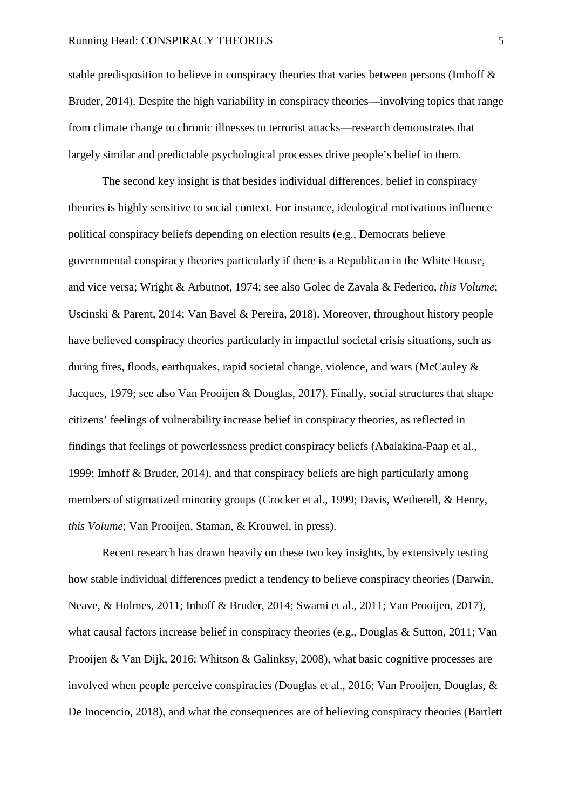#### Running Head: CONSPIRACY THEORIES 5

stable predisposition to believe in conspiracy theories that varies between persons (Imhoff & Bruder, 2014). Despite the high variability in conspiracy theories—involving topics that range from climate change to chronic illnesses to terrorist attacks—research demonstrates that largely similar and predictable psychological processes drive people's belief in them.

The second key insight is that besides individual differences, belief in conspiracy theories is highly sensitive to social context. For instance, ideological motivations influence political conspiracy beliefs depending on election results (e.g., Democrats believe governmental conspiracy theories particularly if there is a Republican in the White House, and vice versa; Wright & Arbutnot, 1974; see also Golec de Zavala & Federico, *this Volume*; Uscinski & Parent, 2014; Van Bavel & Pereira, 2018). Moreover, throughout history people have believed conspiracy theories particularly in impactful societal crisis situations, such as during fires, floods, earthquakes, rapid societal change, violence, and wars (McCauley & Jacques, 1979; see also Van Prooijen & Douglas, 2017). Finally, social structures that shape citizens' feelings of vulnerability increase belief in conspiracy theories, as reflected in findings that feelings of powerlessness predict conspiracy beliefs (Abalakina-Paap et al., 1999; Imhoff & Bruder, 2014), and that conspiracy beliefs are high particularly among members of stigmatized minority groups (Crocker et al., 1999; Davis, Wetherell, & Henry, *this Volume*; Van Prooijen, Staman, & Krouwel, in press).

Recent research has drawn heavily on these two key insights, by extensively testing how stable individual differences predict a tendency to believe conspiracy theories (Darwin, Neave, & Holmes, 2011; Inhoff & Bruder, 2014; Swami et al., 2011; Van Prooijen, 2017), what causal factors increase belief in conspiracy theories (e.g., Douglas & Sutton, 2011; Van Prooijen & Van Dijk, 2016; Whitson & Galinksy, 2008), what basic cognitive processes are involved when people perceive conspiracies (Douglas et al., 2016; Van Prooijen, Douglas, & De Inocencio, 2018), and what the consequences are of believing conspiracy theories (Bartlett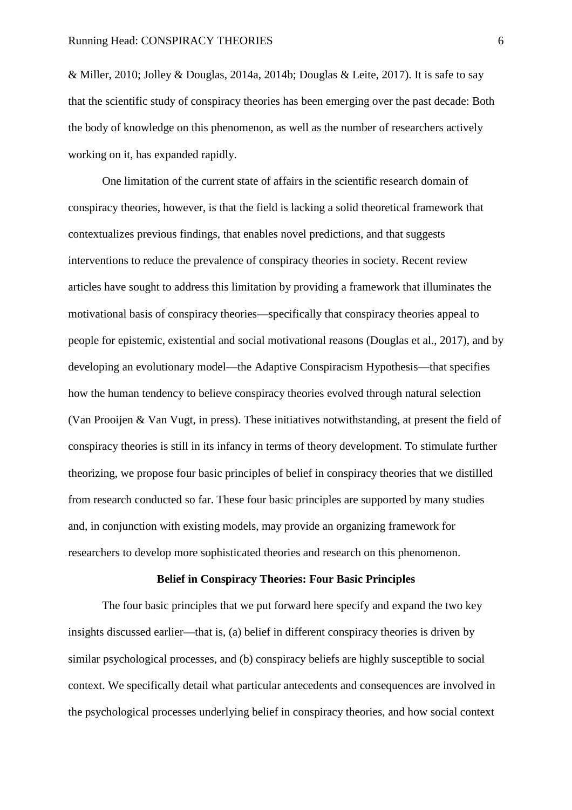& Miller, 2010; Jolley & Douglas, 2014a, 2014b; Douglas & Leite, 2017). It is safe to say that the scientific study of conspiracy theories has been emerging over the past decade: Both the body of knowledge on this phenomenon, as well as the number of researchers actively working on it, has expanded rapidly.

One limitation of the current state of affairs in the scientific research domain of conspiracy theories, however, is that the field is lacking a solid theoretical framework that contextualizes previous findings, that enables novel predictions, and that suggests interventions to reduce the prevalence of conspiracy theories in society. Recent review articles have sought to address this limitation by providing a framework that illuminates the motivational basis of conspiracy theories—specifically that conspiracy theories appeal to people for epistemic, existential and social motivational reasons (Douglas et al., 2017), and by developing an evolutionary model—the Adaptive Conspiracism Hypothesis—that specifies how the human tendency to believe conspiracy theories evolved through natural selection (Van Prooijen & Van Vugt, in press). These initiatives notwithstanding, at present the field of conspiracy theories is still in its infancy in terms of theory development. To stimulate further theorizing, we propose four basic principles of belief in conspiracy theories that we distilled from research conducted so far. These four basic principles are supported by many studies and, in conjunction with existing models, may provide an organizing framework for researchers to develop more sophisticated theories and research on this phenomenon.

#### **Belief in Conspiracy Theories: Four Basic Principles**

The four basic principles that we put forward here specify and expand the two key insights discussed earlier—that is, (a) belief in different conspiracy theories is driven by similar psychological processes, and (b) conspiracy beliefs are highly susceptible to social context. We specifically detail what particular antecedents and consequences are involved in the psychological processes underlying belief in conspiracy theories, and how social context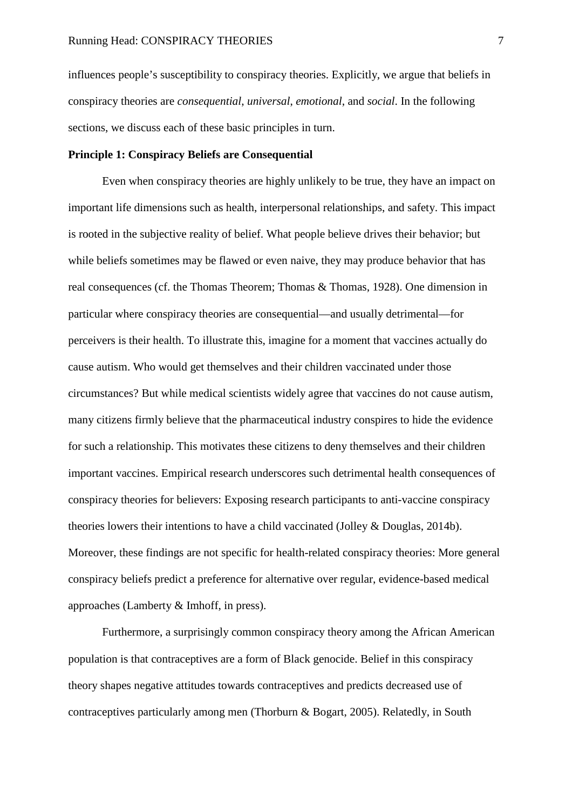influences people's susceptibility to conspiracy theories. Explicitly, we argue that beliefs in conspiracy theories are *consequential*, *universal*, *emotional*, and *social*. In the following sections, we discuss each of these basic principles in turn.

## **Principle 1: Conspiracy Beliefs are Consequential**

 Even when conspiracy theories are highly unlikely to be true, they have an impact on important life dimensions such as health, interpersonal relationships, and safety. This impact is rooted in the subjective reality of belief. What people believe drives their behavior; but while beliefs sometimes may be flawed or even naive, they may produce behavior that has real consequences (cf. the Thomas Theorem; Thomas & Thomas, 1928). One dimension in particular where conspiracy theories are consequential—and usually detrimental—for perceivers is their health. To illustrate this, imagine for a moment that vaccines actually do cause autism. Who would get themselves and their children vaccinated under those circumstances? But while medical scientists widely agree that vaccines do not cause autism, many citizens firmly believe that the pharmaceutical industry conspires to hide the evidence for such a relationship. This motivates these citizens to deny themselves and their children important vaccines. Empirical research underscores such detrimental health consequences of conspiracy theories for believers: Exposing research participants to anti-vaccine conspiracy theories lowers their intentions to have a child vaccinated (Jolley & Douglas, 2014b). Moreover, these findings are not specific for health-related conspiracy theories: More general conspiracy beliefs predict a preference for alternative over regular, evidence-based medical approaches (Lamberty & Imhoff, in press).

Furthermore, a surprisingly common conspiracy theory among the African American population is that contraceptives are a form of Black genocide. Belief in this conspiracy theory shapes negative attitudes towards contraceptives and predicts decreased use of contraceptives particularly among men (Thorburn & Bogart, 2005). Relatedly, in South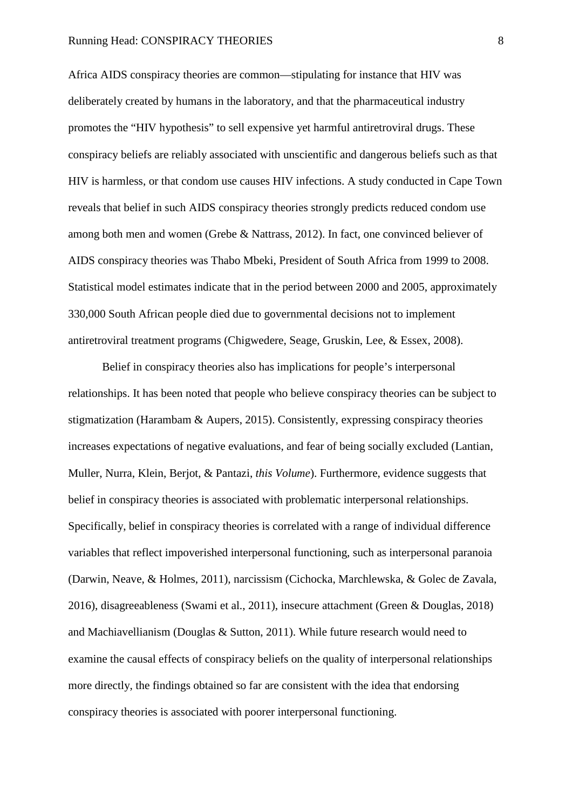#### Running Head: CONSPIRACY THEORIES 8

Africa AIDS conspiracy theories are common—stipulating for instance that HIV was deliberately created by humans in the laboratory, and that the pharmaceutical industry promotes the "HIV hypothesis" to sell expensive yet harmful antiretroviral drugs. These conspiracy beliefs are reliably associated with unscientific and dangerous beliefs such as that HIV is harmless, or that condom use causes HIV infections. A study conducted in Cape Town reveals that belief in such AIDS conspiracy theories strongly predicts reduced condom use among both men and women (Grebe & Nattrass, 2012). In fact, one convinced believer of AIDS conspiracy theories was Thabo Mbeki, President of South Africa from 1999 to 2008. Statistical model estimates indicate that in the period between 2000 and 2005, approximately 330,000 South African people died due to governmental decisions not to implement antiretroviral treatment programs (Chigwedere, Seage, Gruskin, Lee, & Essex, 2008).

Belief in conspiracy theories also has implications for people's interpersonal relationships. It has been noted that people who believe conspiracy theories can be subject to stigmatization (Harambam & Aupers, 2015). Consistently, expressing conspiracy theories increases expectations of negative evaluations, and fear of being socially excluded (Lantian, Muller, Nurra, Klein, Berjot, & Pantazi, *this Volume*). Furthermore, evidence suggests that belief in conspiracy theories is associated with problematic interpersonal relationships. Specifically, belief in conspiracy theories is correlated with a range of individual difference variables that reflect impoverished interpersonal functioning, such as interpersonal paranoia (Darwin, Neave, & Holmes, 2011), narcissism (Cichocka, Marchlewska, & Golec de Zavala, 2016), disagreeableness (Swami et al., 2011), insecure attachment (Green & Douglas, 2018) and Machiavellianism (Douglas & Sutton, 2011). While future research would need to examine the causal effects of conspiracy beliefs on the quality of interpersonal relationships more directly, the findings obtained so far are consistent with the idea that endorsing conspiracy theories is associated with poorer interpersonal functioning.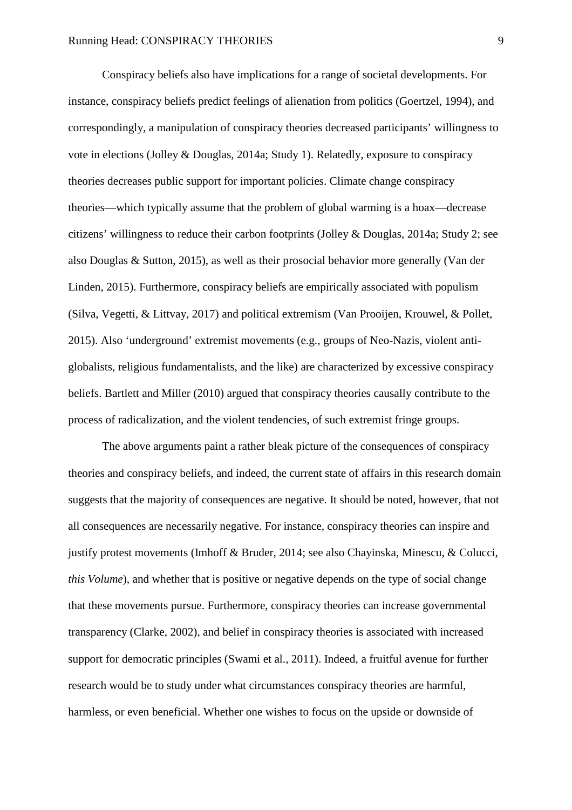Conspiracy beliefs also have implications for a range of societal developments. For instance, conspiracy beliefs predict feelings of alienation from politics (Goertzel, 1994), and correspondingly, a manipulation of conspiracy theories decreased participants' willingness to vote in elections (Jolley & Douglas, 2014a; Study 1). Relatedly, exposure to conspiracy theories decreases public support for important policies. Climate change conspiracy theories—which typically assume that the problem of global warming is a hoax—decrease citizens' willingness to reduce their carbon footprints (Jolley & Douglas, 2014a; Study 2; see also Douglas & Sutton, 2015), as well as their prosocial behavior more generally (Van der Linden, 2015). Furthermore, conspiracy beliefs are empirically associated with populism (Silva, Vegetti, & Littvay, 2017) and political extremism (Van Prooijen, Krouwel, & Pollet, 2015). Also 'underground' extremist movements (e.g., groups of Neo-Nazis, violent antiglobalists, religious fundamentalists, and the like) are characterized by excessive conspiracy beliefs. Bartlett and Miller (2010) argued that conspiracy theories causally contribute to the process of radicalization, and the violent tendencies, of such extremist fringe groups.

The above arguments paint a rather bleak picture of the consequences of conspiracy theories and conspiracy beliefs, and indeed, the current state of affairs in this research domain suggests that the majority of consequences are negative. It should be noted, however, that not all consequences are necessarily negative. For instance, conspiracy theories can inspire and justify protest movements (Imhoff & Bruder, 2014; see also Chayinska, Minescu, & Colucci, *this Volume*), and whether that is positive or negative depends on the type of social change that these movements pursue. Furthermore, conspiracy theories can increase governmental transparency (Clarke, 2002), and belief in conspiracy theories is associated with increased support for democratic principles (Swami et al., 2011). Indeed, a fruitful avenue for further research would be to study under what circumstances conspiracy theories are harmful, harmless, or even beneficial. Whether one wishes to focus on the upside or downside of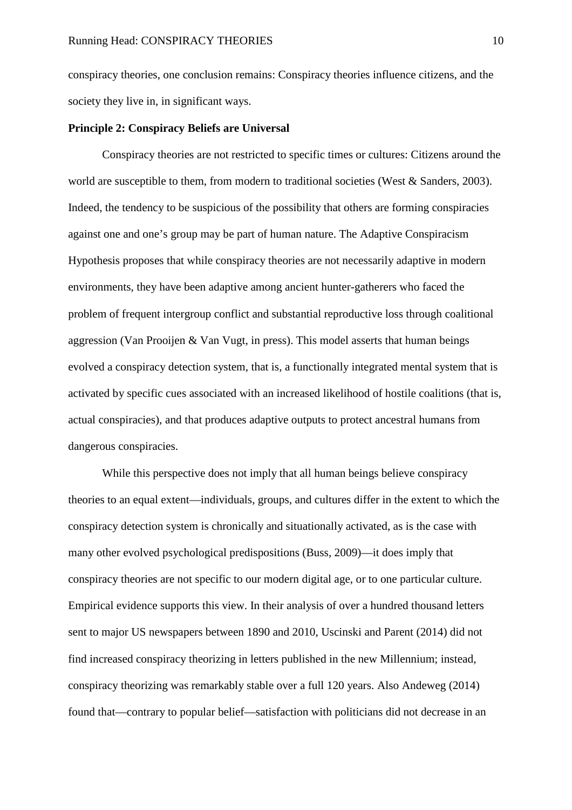conspiracy theories, one conclusion remains: Conspiracy theories influence citizens, and the society they live in, in significant ways.

#### **Principle 2: Conspiracy Beliefs are Universal**

 Conspiracy theories are not restricted to specific times or cultures: Citizens around the world are susceptible to them, from modern to traditional societies (West  $\&$  Sanders, 2003). Indeed, the tendency to be suspicious of the possibility that others are forming conspiracies against one and one's group may be part of human nature. The Adaptive Conspiracism Hypothesis proposes that while conspiracy theories are not necessarily adaptive in modern environments, they have been adaptive among ancient hunter-gatherers who faced the problem of frequent intergroup conflict and substantial reproductive loss through coalitional aggression (Van Prooijen & Van Vugt, in press). This model asserts that human beings evolved a conspiracy detection system, that is, a functionally integrated mental system that is activated by specific cues associated with an increased likelihood of hostile coalitions (that is, actual conspiracies), and that produces adaptive outputs to protect ancestral humans from dangerous conspiracies.

 While this perspective does not imply that all human beings believe conspiracy theories to an equal extent—individuals, groups, and cultures differ in the extent to which the conspiracy detection system is chronically and situationally activated, as is the case with many other evolved psychological predispositions (Buss, 2009)—it does imply that conspiracy theories are not specific to our modern digital age, or to one particular culture. Empirical evidence supports this view. In their analysis of over a hundred thousand letters sent to major US newspapers between 1890 and 2010, Uscinski and Parent (2014) did not find increased conspiracy theorizing in letters published in the new Millennium; instead, conspiracy theorizing was remarkably stable over a full 120 years. Also Andeweg (2014) found that—contrary to popular belief—satisfaction with politicians did not decrease in an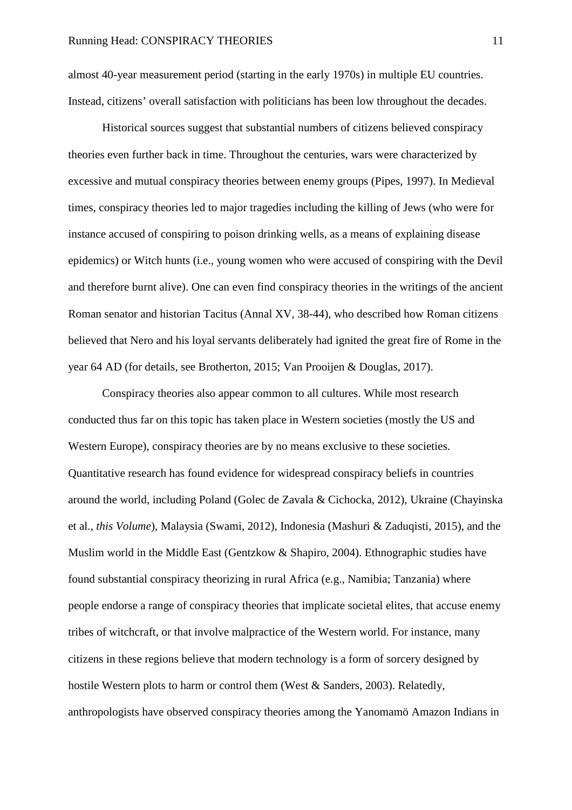almost 40-year measurement period (starting in the early 1970s) in multiple EU countries. Instead, citizens' overall satisfaction with politicians has been low throughout the decades.

Historical sources suggest that substantial numbers of citizens believed conspiracy theories even further back in time. Throughout the centuries, wars were characterized by excessive and mutual conspiracy theories between enemy groups (Pipes, 1997). In Medieval times, conspiracy theories led to major tragedies including the killing of Jews (who were for instance accused of conspiring to poison drinking wells, as a means of explaining disease epidemics) or Witch hunts (i.e., young women who were accused of conspiring with the Devil and therefore burnt alive). One can even find conspiracy theories in the writings of the ancient Roman senator and historian Tacitus (Annal XV, 38-44), who described how Roman citizens believed that Nero and his loyal servants deliberately had ignited the great fire of Rome in the year 64 AD (for details, see Brotherton, 2015; Van Prooijen & Douglas, 2017).

 Conspiracy theories also appear common to all cultures. While most research conducted thus far on this topic has taken place in Western societies (mostly the US and Western Europe), conspiracy theories are by no means exclusive to these societies. Quantitative research has found evidence for widespread conspiracy beliefs in countries around the world, including Poland (Golec de Zavala & Cichocka, 2012), Ukraine (Chayinska et al., *this Volume*), Malaysia (Swami, 2012), Indonesia (Mashuri & Zaduqisti, 2015), and the Muslim world in the Middle East (Gentzkow & Shapiro, 2004). Ethnographic studies have found substantial conspiracy theorizing in rural Africa (e.g., Namibia; Tanzania) where people endorse a range of conspiracy theories that implicate societal elites, that accuse enemy tribes of witchcraft, or that involve malpractice of the Western world. For instance, many citizens in these regions believe that modern technology is a form of sorcery designed by hostile Western plots to harm or control them (West & Sanders, 2003). Relatedly, anthropologists have observed conspiracy theories among the Yanomamö Amazon Indians in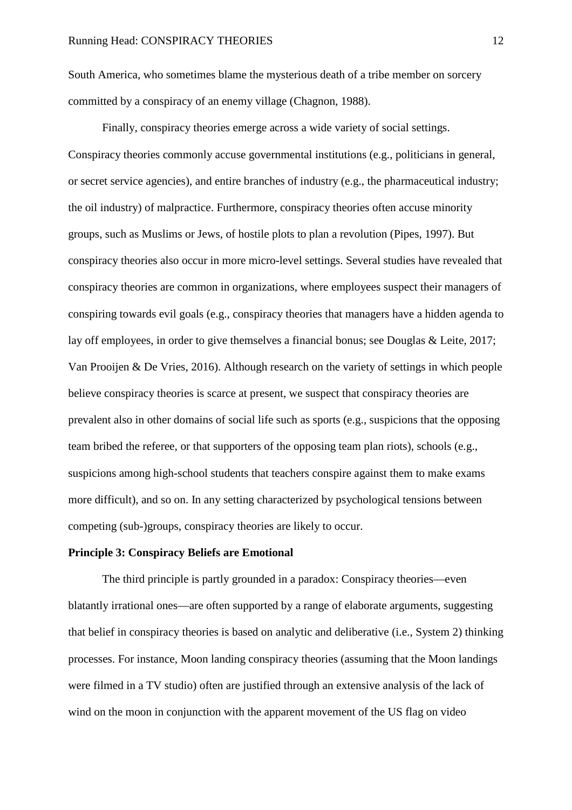South America, who sometimes blame the mysterious death of a tribe member on sorcery committed by a conspiracy of an enemy village (Chagnon, 1988).

Finally, conspiracy theories emerge across a wide variety of social settings. Conspiracy theories commonly accuse governmental institutions (e.g., politicians in general, or secret service agencies), and entire branches of industry (e.g., the pharmaceutical industry; the oil industry) of malpractice. Furthermore, conspiracy theories often accuse minority groups, such as Muslims or Jews, of hostile plots to plan a revolution (Pipes, 1997). But conspiracy theories also occur in more micro-level settings. Several studies have revealed that conspiracy theories are common in organizations, where employees suspect their managers of conspiring towards evil goals (e.g., conspiracy theories that managers have a hidden agenda to lay off employees, in order to give themselves a financial bonus; see Douglas & Leite, 2017; Van Prooijen & De Vries, 2016). Although research on the variety of settings in which people believe conspiracy theories is scarce at present, we suspect that conspiracy theories are prevalent also in other domains of social life such as sports (e.g., suspicions that the opposing team bribed the referee, or that supporters of the opposing team plan riots), schools (e.g., suspicions among high-school students that teachers conspire against them to make exams more difficult), and so on. In any setting characterized by psychological tensions between competing (sub-)groups, conspiracy theories are likely to occur.

#### **Principle 3: Conspiracy Beliefs are Emotional**

 The third principle is partly grounded in a paradox: Conspiracy theories—even blatantly irrational ones—are often supported by a range of elaborate arguments, suggesting that belief in conspiracy theories is based on analytic and deliberative (i.e., System 2) thinking processes. For instance, Moon landing conspiracy theories (assuming that the Moon landings were filmed in a TV studio) often are justified through an extensive analysis of the lack of wind on the moon in conjunction with the apparent movement of the US flag on video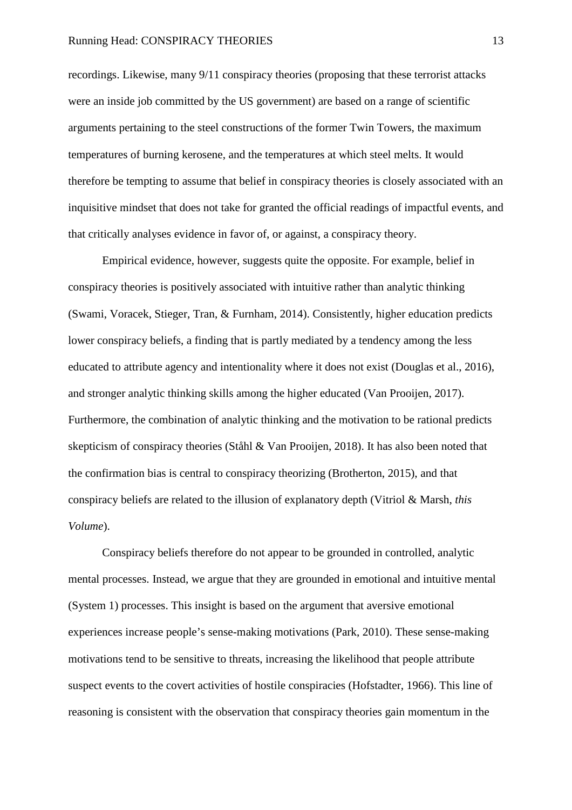recordings. Likewise, many 9/11 conspiracy theories (proposing that these terrorist attacks were an inside job committed by the US government) are based on a range of scientific arguments pertaining to the steel constructions of the former Twin Towers, the maximum temperatures of burning kerosene, and the temperatures at which steel melts. It would therefore be tempting to assume that belief in conspiracy theories is closely associated with an inquisitive mindset that does not take for granted the official readings of impactful events, and that critically analyses evidence in favor of, or against, a conspiracy theory.

Empirical evidence, however, suggests quite the opposite. For example, belief in conspiracy theories is positively associated with intuitive rather than analytic thinking (Swami, Voracek, Stieger, Tran, & Furnham, 2014). Consistently, higher education predicts lower conspiracy beliefs, a finding that is partly mediated by a tendency among the less educated to attribute agency and intentionality where it does not exist (Douglas et al., 2016), and stronger analytic thinking skills among the higher educated (Van Prooijen, 2017). Furthermore, the combination of analytic thinking and the motivation to be rational predicts skepticism of conspiracy theories (Ståhl & Van Prooijen, 2018). It has also been noted that the confirmation bias is central to conspiracy theorizing (Brotherton, 2015), and that conspiracy beliefs are related to the illusion of explanatory depth (Vitriol & Marsh, *this Volume*).

Conspiracy beliefs therefore do not appear to be grounded in controlled, analytic mental processes. Instead, we argue that they are grounded in emotional and intuitive mental (System 1) processes. This insight is based on the argument that aversive emotional experiences increase people's sense-making motivations (Park, 2010). These sense-making motivations tend to be sensitive to threats, increasing the likelihood that people attribute suspect events to the covert activities of hostile conspiracies (Hofstadter, 1966). This line of reasoning is consistent with the observation that conspiracy theories gain momentum in the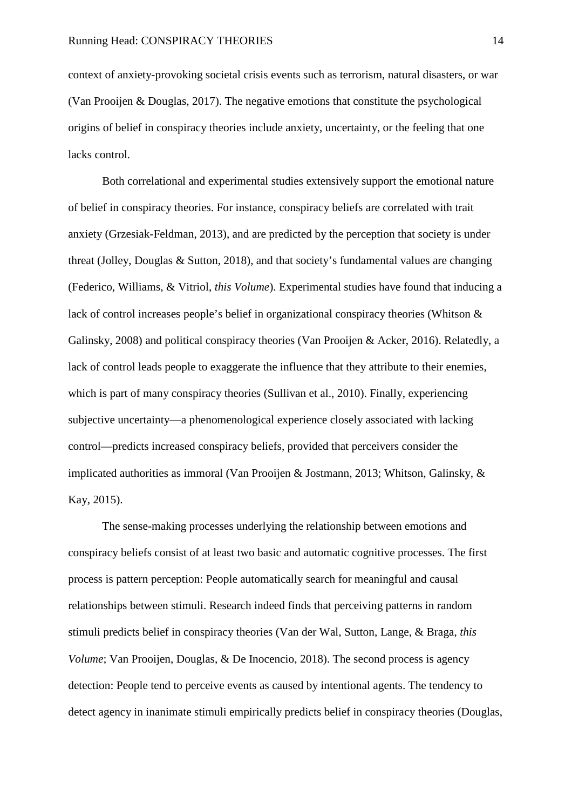context of anxiety-provoking societal crisis events such as terrorism, natural disasters, or war (Van Prooijen & Douglas, 2017). The negative emotions that constitute the psychological origins of belief in conspiracy theories include anxiety, uncertainty, or the feeling that one lacks control.

Both correlational and experimental studies extensively support the emotional nature of belief in conspiracy theories. For instance, conspiracy beliefs are correlated with trait anxiety (Grzesiak-Feldman, 2013), and are predicted by the perception that society is under threat (Jolley, Douglas & Sutton, 2018), and that society's fundamental values are changing (Federico, Williams, & Vitriol, *this Volume*). Experimental studies have found that inducing a lack of control increases people's belief in organizational conspiracy theories (Whitson & Galinsky, 2008) and political conspiracy theories (Van Prooijen & Acker, 2016). Relatedly, a lack of control leads people to exaggerate the influence that they attribute to their enemies, which is part of many conspiracy theories (Sullivan et al., 2010). Finally, experiencing subjective uncertainty—a phenomenological experience closely associated with lacking control—predicts increased conspiracy beliefs, provided that perceivers consider the implicated authorities as immoral (Van Prooijen & Jostmann, 2013; Whitson, Galinsky, & Kay, 2015).

The sense-making processes underlying the relationship between emotions and conspiracy beliefs consist of at least two basic and automatic cognitive processes. The first process is pattern perception: People automatically search for meaningful and causal relationships between stimuli. Research indeed finds that perceiving patterns in random stimuli predicts belief in conspiracy theories (Van der Wal, Sutton, Lange, & Braga, *this Volume*; Van Prooijen, Douglas, & De Inocencio, 2018). The second process is agency detection: People tend to perceive events as caused by intentional agents. The tendency to detect agency in inanimate stimuli empirically predicts belief in conspiracy theories (Douglas,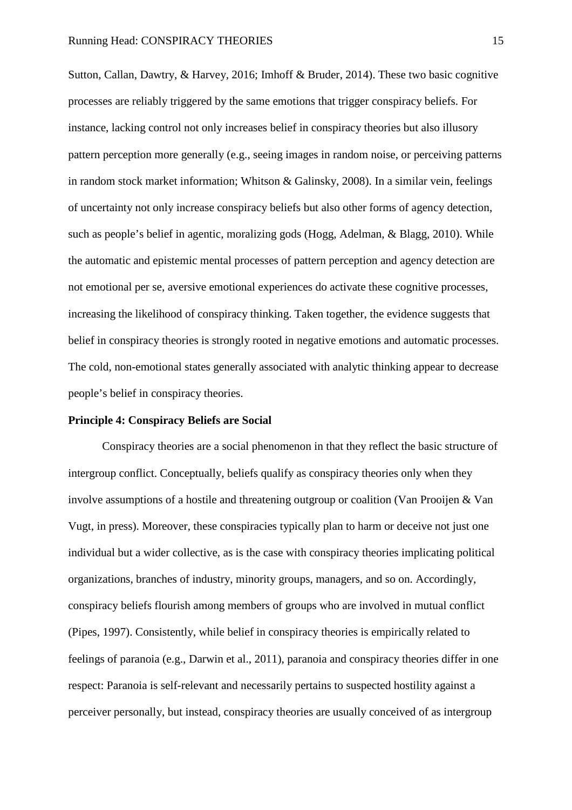Sutton, Callan, Dawtry, & Harvey, 2016; Imhoff & Bruder, 2014). These two basic cognitive processes are reliably triggered by the same emotions that trigger conspiracy beliefs. For instance, lacking control not only increases belief in conspiracy theories but also illusory pattern perception more generally (e.g., seeing images in random noise, or perceiving patterns in random stock market information; Whitson & Galinsky, 2008). In a similar vein, feelings of uncertainty not only increase conspiracy beliefs but also other forms of agency detection, such as people's belief in agentic, moralizing gods (Hogg, Adelman, & Blagg, 2010). While the automatic and epistemic mental processes of pattern perception and agency detection are not emotional per se, aversive emotional experiences do activate these cognitive processes, increasing the likelihood of conspiracy thinking. Taken together, the evidence suggests that belief in conspiracy theories is strongly rooted in negative emotions and automatic processes. The cold, non-emotional states generally associated with analytic thinking appear to decrease people's belief in conspiracy theories.

#### **Principle 4: Conspiracy Beliefs are Social**

Conspiracy theories are a social phenomenon in that they reflect the basic structure of intergroup conflict. Conceptually, beliefs qualify as conspiracy theories only when they involve assumptions of a hostile and threatening outgroup or coalition (Van Prooijen & Van Vugt, in press). Moreover, these conspiracies typically plan to harm or deceive not just one individual but a wider collective, as is the case with conspiracy theories implicating political organizations, branches of industry, minority groups, managers, and so on. Accordingly, conspiracy beliefs flourish among members of groups who are involved in mutual conflict (Pipes, 1997). Consistently, while belief in conspiracy theories is empirically related to feelings of paranoia (e.g., Darwin et al., 2011), paranoia and conspiracy theories differ in one respect: Paranoia is self-relevant and necessarily pertains to suspected hostility against a perceiver personally, but instead, conspiracy theories are usually conceived of as intergroup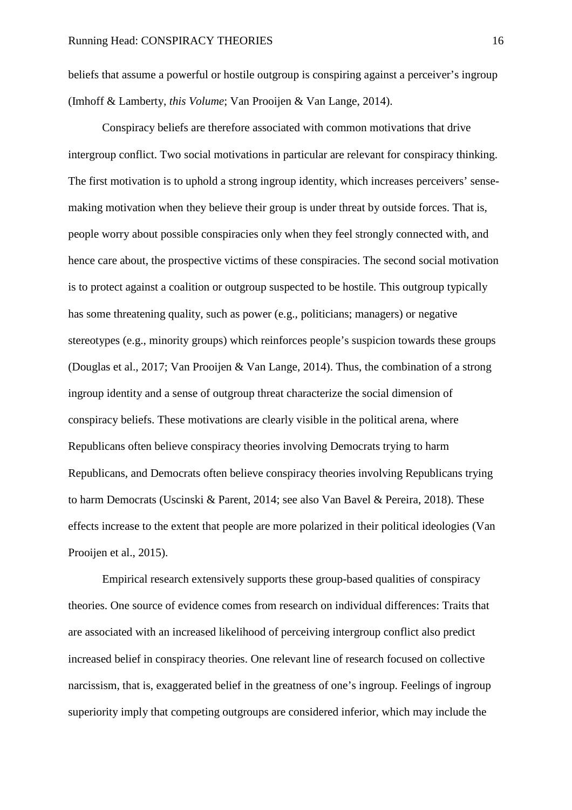beliefs that assume a powerful or hostile outgroup is conspiring against a perceiver's ingroup (Imhoff & Lamberty, *this Volume*; Van Prooijen & Van Lange, 2014).

Conspiracy beliefs are therefore associated with common motivations that drive intergroup conflict. Two social motivations in particular are relevant for conspiracy thinking. The first motivation is to uphold a strong ingroup identity, which increases perceivers' sensemaking motivation when they believe their group is under threat by outside forces. That is, people worry about possible conspiracies only when they feel strongly connected with, and hence care about, the prospective victims of these conspiracies. The second social motivation is to protect against a coalition or outgroup suspected to be hostile. This outgroup typically has some threatening quality, such as power (e.g., politicians; managers) or negative stereotypes (e.g., minority groups) which reinforces people's suspicion towards these groups (Douglas et al., 2017; Van Prooijen & Van Lange, 2014). Thus, the combination of a strong ingroup identity and a sense of outgroup threat characterize the social dimension of conspiracy beliefs. These motivations are clearly visible in the political arena, where Republicans often believe conspiracy theories involving Democrats trying to harm Republicans, and Democrats often believe conspiracy theories involving Republicans trying to harm Democrats (Uscinski & Parent, 2014; see also Van Bavel & Pereira, 2018). These effects increase to the extent that people are more polarized in their political ideologies (Van Prooijen et al., 2015).

Empirical research extensively supports these group-based qualities of conspiracy theories. One source of evidence comes from research on individual differences: Traits that are associated with an increased likelihood of perceiving intergroup conflict also predict increased belief in conspiracy theories. One relevant line of research focused on collective narcissism, that is, exaggerated belief in the greatness of one's ingroup. Feelings of ingroup superiority imply that competing outgroups are considered inferior, which may include the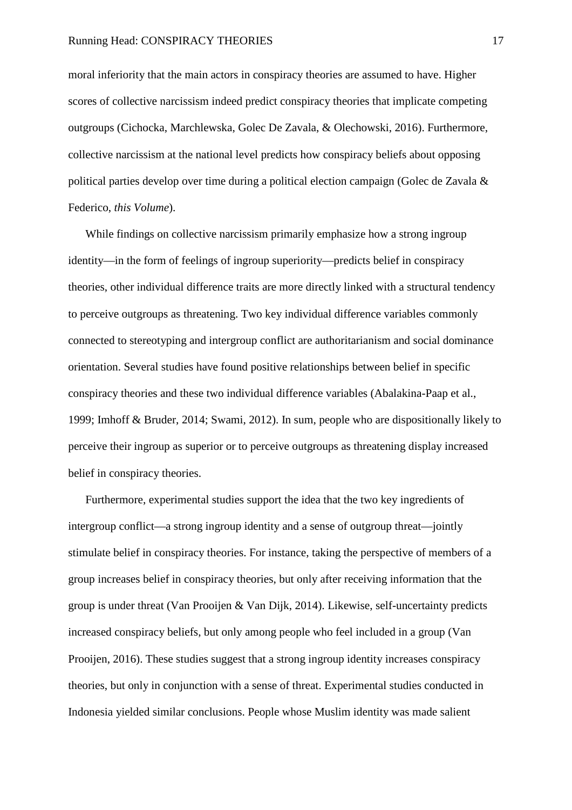moral inferiority that the main actors in conspiracy theories are assumed to have. Higher scores of collective narcissism indeed predict conspiracy theories that implicate competing outgroups (Cichocka, Marchlewska, Golec De Zavala, & Olechowski, 2016). Furthermore, collective narcissism at the national level predicts how conspiracy beliefs about opposing political parties develop over time during a political election campaign (Golec de Zavala & Federico, *this Volume*).

While findings on collective narcissism primarily emphasize how a strong ingroup identity—in the form of feelings of ingroup superiority—predicts belief in conspiracy theories, other individual difference traits are more directly linked with a structural tendency to perceive outgroups as threatening. Two key individual difference variables commonly connected to stereotyping and intergroup conflict are authoritarianism and social dominance orientation. Several studies have found positive relationships between belief in specific conspiracy theories and these two individual difference variables (Abalakina-Paap et al., 1999; Imhoff & Bruder, 2014; Swami, 2012). In sum, people who are dispositionally likely to perceive their ingroup as superior or to perceive outgroups as threatening display increased belief in conspiracy theories.

Furthermore, experimental studies support the idea that the two key ingredients of intergroup conflict—a strong ingroup identity and a sense of outgroup threat—jointly stimulate belief in conspiracy theories. For instance, taking the perspective of members of a group increases belief in conspiracy theories, but only after receiving information that the group is under threat (Van Prooijen & Van Dijk, 2014). Likewise, self-uncertainty predicts increased conspiracy beliefs, but only among people who feel included in a group (Van Prooijen, 2016). These studies suggest that a strong ingroup identity increases conspiracy theories, but only in conjunction with a sense of threat. Experimental studies conducted in Indonesia yielded similar conclusions. People whose Muslim identity was made salient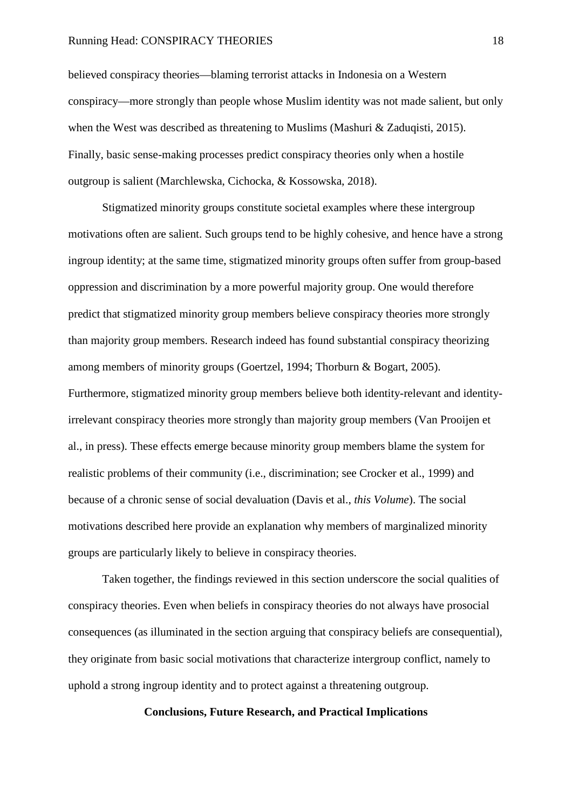#### Running Head: CONSPIRACY THEORIES 18

believed conspiracy theories—blaming terrorist attacks in Indonesia on a Western conspiracy—more strongly than people whose Muslim identity was not made salient, but only when the West was described as threatening to Muslims (Mashuri & Zaduqisti, 2015). Finally, basic sense-making processes predict conspiracy theories only when a hostile outgroup is salient (Marchlewska, Cichocka, & Kossowska, 2018).

Stigmatized minority groups constitute societal examples where these intergroup motivations often are salient. Such groups tend to be highly cohesive, and hence have a strong ingroup identity; at the same time, stigmatized minority groups often suffer from group-based oppression and discrimination by a more powerful majority group. One would therefore predict that stigmatized minority group members believe conspiracy theories more strongly than majority group members. Research indeed has found substantial conspiracy theorizing among members of minority groups (Goertzel, 1994; Thorburn & Bogart, 2005). Furthermore, stigmatized minority group members believe both identity-relevant and identityirrelevant conspiracy theories more strongly than majority group members (Van Prooijen et al., in press). These effects emerge because minority group members blame the system for realistic problems of their community (i.e., discrimination; see Crocker et al., 1999) and because of a chronic sense of social devaluation (Davis et al., *this Volume*). The social motivations described here provide an explanation why members of marginalized minority groups are particularly likely to believe in conspiracy theories.

Taken together, the findings reviewed in this section underscore the social qualities of conspiracy theories. Even when beliefs in conspiracy theories do not always have prosocial consequences (as illuminated in the section arguing that conspiracy beliefs are consequential), they originate from basic social motivations that characterize intergroup conflict, namely to uphold a strong ingroup identity and to protect against a threatening outgroup.

## **Conclusions, Future Research, and Practical Implications**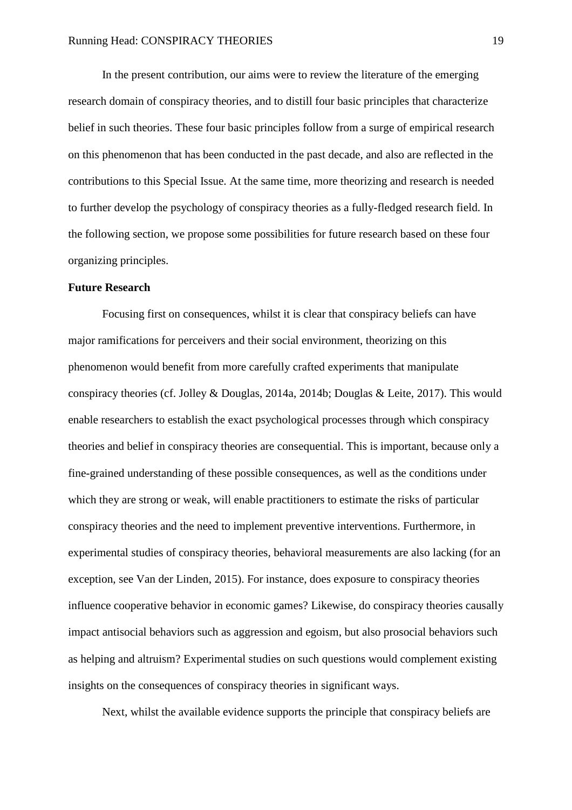In the present contribution, our aims were to review the literature of the emerging research domain of conspiracy theories, and to distill four basic principles that characterize belief in such theories. These four basic principles follow from a surge of empirical research on this phenomenon that has been conducted in the past decade, and also are reflected in the contributions to this Special Issue. At the same time, more theorizing and research is needed to further develop the psychology of conspiracy theories as a fully-fledged research field. In the following section, we propose some possibilities for future research based on these four organizing principles.

#### **Future Research**

 Focusing first on consequences, whilst it is clear that conspiracy beliefs can have major ramifications for perceivers and their social environment, theorizing on this phenomenon would benefit from more carefully crafted experiments that manipulate conspiracy theories (cf. Jolley & Douglas, 2014a, 2014b; Douglas & Leite, 2017). This would enable researchers to establish the exact psychological processes through which conspiracy theories and belief in conspiracy theories are consequential. This is important, because only a fine-grained understanding of these possible consequences, as well as the conditions under which they are strong or weak, will enable practitioners to estimate the risks of particular conspiracy theories and the need to implement preventive interventions. Furthermore, in experimental studies of conspiracy theories, behavioral measurements are also lacking (for an exception, see Van der Linden, 2015). For instance, does exposure to conspiracy theories influence cooperative behavior in economic games? Likewise, do conspiracy theories causally impact antisocial behaviors such as aggression and egoism, but also prosocial behaviors such as helping and altruism? Experimental studies on such questions would complement existing insights on the consequences of conspiracy theories in significant ways.

Next, whilst the available evidence supports the principle that conspiracy beliefs are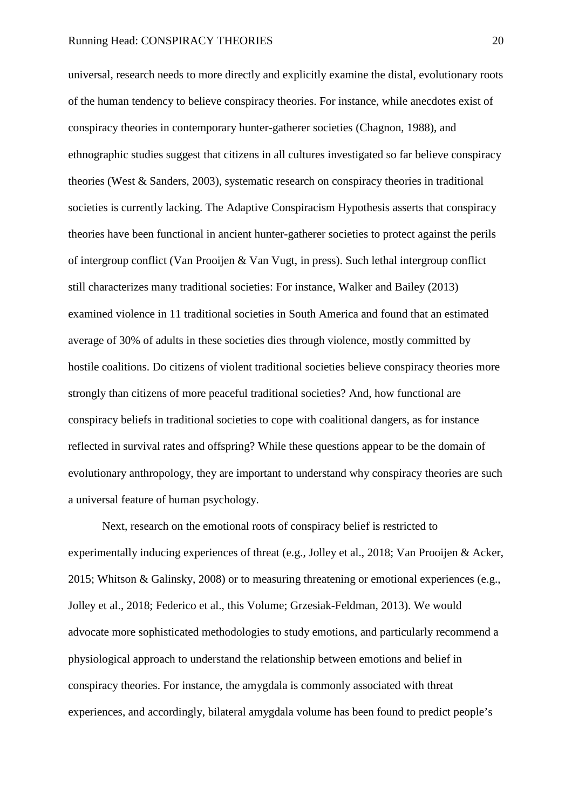universal, research needs to more directly and explicitly examine the distal, evolutionary roots of the human tendency to believe conspiracy theories. For instance, while anecdotes exist of conspiracy theories in contemporary hunter-gatherer societies (Chagnon, 1988), and ethnographic studies suggest that citizens in all cultures investigated so far believe conspiracy theories (West & Sanders, 2003), systematic research on conspiracy theories in traditional societies is currently lacking. The Adaptive Conspiracism Hypothesis asserts that conspiracy theories have been functional in ancient hunter-gatherer societies to protect against the perils of intergroup conflict (Van Prooijen & Van Vugt, in press). Such lethal intergroup conflict still characterizes many traditional societies: For instance, Walker and Bailey (2013) examined violence in 11 traditional societies in South America and found that an estimated average of 30% of adults in these societies dies through violence, mostly committed by hostile coalitions. Do citizens of violent traditional societies believe conspiracy theories more strongly than citizens of more peaceful traditional societies? And, how functional are conspiracy beliefs in traditional societies to cope with coalitional dangers, as for instance reflected in survival rates and offspring? While these questions appear to be the domain of evolutionary anthropology, they are important to understand why conspiracy theories are such a universal feature of human psychology.

Next, research on the emotional roots of conspiracy belief is restricted to experimentally inducing experiences of threat (e.g., Jolley et al., 2018; Van Prooijen & Acker, 2015; Whitson & Galinsky, 2008) or to measuring threatening or emotional experiences (e.g., Jolley et al., 2018; Federico et al., this Volume; Grzesiak-Feldman, 2013). We would advocate more sophisticated methodologies to study emotions, and particularly recommend a physiological approach to understand the relationship between emotions and belief in conspiracy theories. For instance, the amygdala is commonly associated with threat experiences, and accordingly, bilateral amygdala volume has been found to predict people's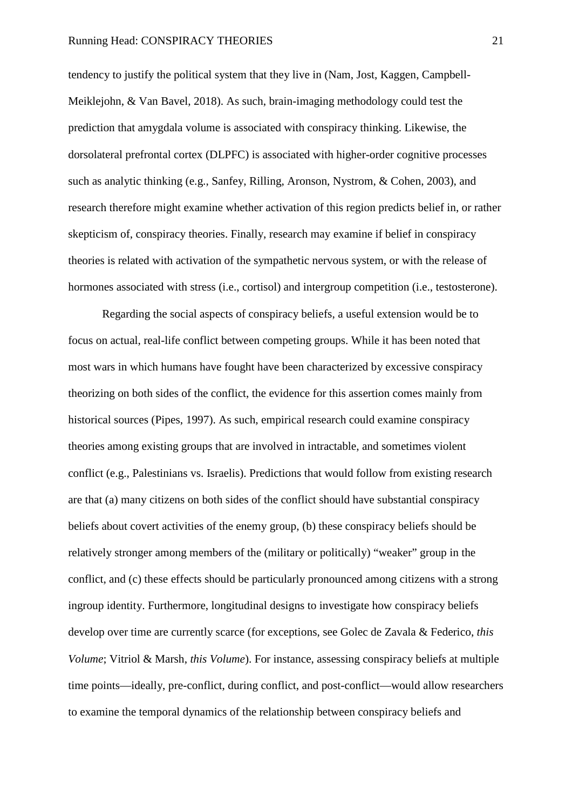tendency to justify the political system that they live in (Nam, Jost, Kaggen, Campbell-Meiklejohn, & Van Bavel, 2018). As such, brain-imaging methodology could test the prediction that amygdala volume is associated with conspiracy thinking. Likewise, the dorsolateral prefrontal cortex (DLPFC) is associated with higher-order cognitive processes such as analytic thinking (e.g., Sanfey, Rilling, Aronson, Nystrom, & Cohen, 2003), and research therefore might examine whether activation of this region predicts belief in, or rather skepticism of, conspiracy theories. Finally, research may examine if belief in conspiracy theories is related with activation of the sympathetic nervous system, or with the release of hormones associated with stress (i.e., cortisol) and intergroup competition (i.e., testosterone).

 Regarding the social aspects of conspiracy beliefs, a useful extension would be to focus on actual, real-life conflict between competing groups. While it has been noted that most wars in which humans have fought have been characterized by excessive conspiracy theorizing on both sides of the conflict, the evidence for this assertion comes mainly from historical sources (Pipes, 1997). As such, empirical research could examine conspiracy theories among existing groups that are involved in intractable, and sometimes violent conflict (e.g., Palestinians vs. Israelis). Predictions that would follow from existing research are that (a) many citizens on both sides of the conflict should have substantial conspiracy beliefs about covert activities of the enemy group, (b) these conspiracy beliefs should be relatively stronger among members of the (military or politically) "weaker" group in the conflict, and (c) these effects should be particularly pronounced among citizens with a strong ingroup identity. Furthermore, longitudinal designs to investigate how conspiracy beliefs develop over time are currently scarce (for exceptions, see Golec de Zavala & Federico, *this Volume*; Vitriol & Marsh, *this Volume*). For instance, assessing conspiracy beliefs at multiple time points—ideally, pre-conflict, during conflict, and post-conflict—would allow researchers to examine the temporal dynamics of the relationship between conspiracy beliefs and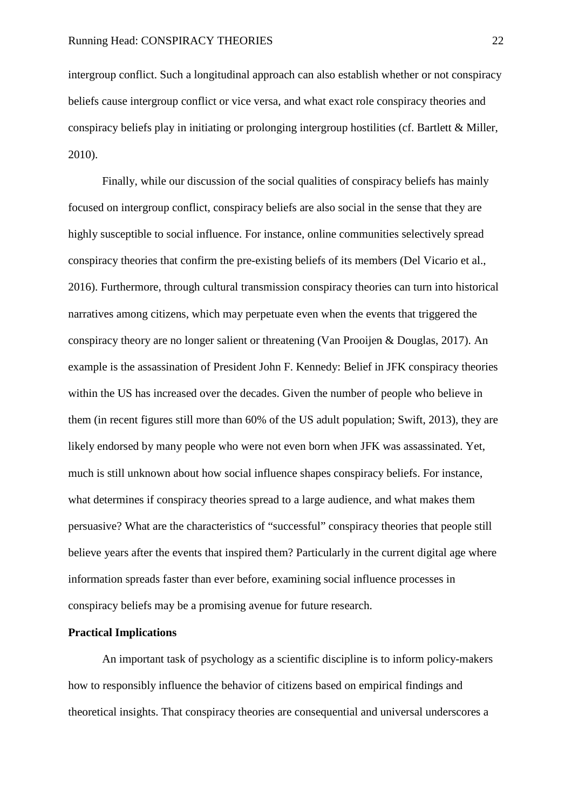intergroup conflict. Such a longitudinal approach can also establish whether or not conspiracy beliefs cause intergroup conflict or vice versa, and what exact role conspiracy theories and conspiracy beliefs play in initiating or prolonging intergroup hostilities (cf. Bartlett & Miller, 2010).

 Finally, while our discussion of the social qualities of conspiracy beliefs has mainly focused on intergroup conflict, conspiracy beliefs are also social in the sense that they are highly susceptible to social influence. For instance, online communities selectively spread conspiracy theories that confirm the pre-existing beliefs of its members (Del Vicario et al., 2016). Furthermore, through cultural transmission conspiracy theories can turn into historical narratives among citizens, which may perpetuate even when the events that triggered the conspiracy theory are no longer salient or threatening (Van Prooijen & Douglas, 2017). An example is the assassination of President John F. Kennedy: Belief in JFK conspiracy theories within the US has increased over the decades. Given the number of people who believe in them (in recent figures still more than 60% of the US adult population; Swift, 2013), they are likely endorsed by many people who were not even born when JFK was assassinated. Yet, much is still unknown about how social influence shapes conspiracy beliefs. For instance, what determines if conspiracy theories spread to a large audience, and what makes them persuasive? What are the characteristics of "successful" conspiracy theories that people still believe years after the events that inspired them? Particularly in the current digital age where information spreads faster than ever before, examining social influence processes in conspiracy beliefs may be a promising avenue for future research.

#### **Practical Implications**

An important task of psychology as a scientific discipline is to inform policy-makers how to responsibly influence the behavior of citizens based on empirical findings and theoretical insights. That conspiracy theories are consequential and universal underscores a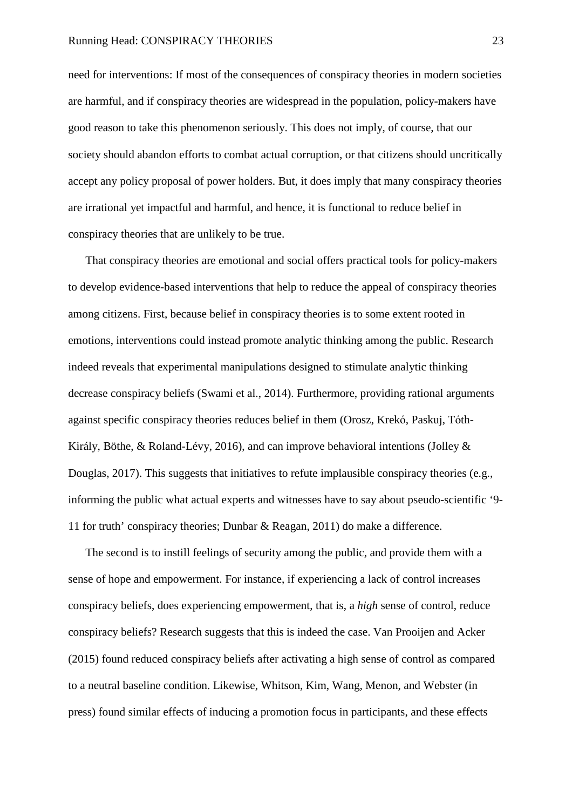need for interventions: If most of the consequences of conspiracy theories in modern societies are harmful, and if conspiracy theories are widespread in the population, policy-makers have good reason to take this phenomenon seriously. This does not imply, of course, that our society should abandon efforts to combat actual corruption, or that citizens should uncritically accept any policy proposal of power holders. But, it does imply that many conspiracy theories are irrational yet impactful and harmful, and hence, it is functional to reduce belief in conspiracy theories that are unlikely to be true.

That conspiracy theories are emotional and social offers practical tools for policy-makers to develop evidence-based interventions that help to reduce the appeal of conspiracy theories among citizens. First, because belief in conspiracy theories is to some extent rooted in emotions, interventions could instead promote analytic thinking among the public. Research indeed reveals that experimental manipulations designed to stimulate analytic thinking decrease conspiracy beliefs (Swami et al., 2014). Furthermore, providing rational arguments against specific conspiracy theories reduces belief in them (Orosz, Krekó, Paskuj, Tóth-Király, Böthe, & Roland-Lévy, 2016), and can improve behavioral intentions (Jolley & Douglas, 2017). This suggests that initiatives to refute implausible conspiracy theories (e.g., informing the public what actual experts and witnesses have to say about pseudo-scientific '9- 11 for truth' conspiracy theories; Dunbar & Reagan, 2011) do make a difference.

The second is to instill feelings of security among the public, and provide them with a sense of hope and empowerment. For instance, if experiencing a lack of control increases conspiracy beliefs, does experiencing empowerment, that is, a *high* sense of control, reduce conspiracy beliefs? Research suggests that this is indeed the case. Van Prooijen and Acker (2015) found reduced conspiracy beliefs after activating a high sense of control as compared to a neutral baseline condition. Likewise, Whitson, Kim, Wang, Menon, and Webster (in press) found similar effects of inducing a promotion focus in participants, and these effects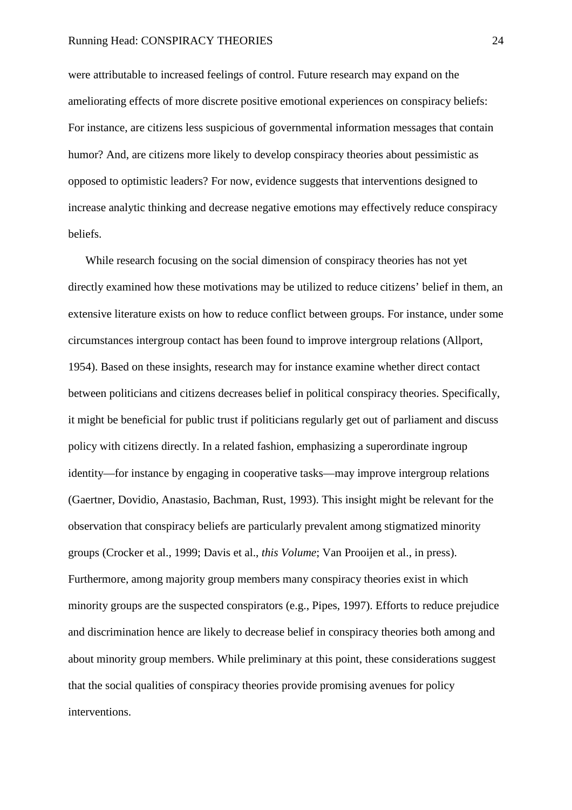#### Running Head: CONSPIRACY THEORIES 24

were attributable to increased feelings of control. Future research may expand on the ameliorating effects of more discrete positive emotional experiences on conspiracy beliefs: For instance, are citizens less suspicious of governmental information messages that contain humor? And, are citizens more likely to develop conspiracy theories about pessimistic as opposed to optimistic leaders? For now, evidence suggests that interventions designed to increase analytic thinking and decrease negative emotions may effectively reduce conspiracy beliefs.

While research focusing on the social dimension of conspiracy theories has not yet directly examined how these motivations may be utilized to reduce citizens' belief in them, an extensive literature exists on how to reduce conflict between groups. For instance, under some circumstances intergroup contact has been found to improve intergroup relations (Allport, 1954). Based on these insights, research may for instance examine whether direct contact between politicians and citizens decreases belief in political conspiracy theories. Specifically, it might be beneficial for public trust if politicians regularly get out of parliament and discuss policy with citizens directly. In a related fashion, emphasizing a superordinate ingroup identity—for instance by engaging in cooperative tasks—may improve intergroup relations (Gaertner, Dovidio, Anastasio, Bachman, Rust, 1993). This insight might be relevant for the observation that conspiracy beliefs are particularly prevalent among stigmatized minority groups (Crocker et al., 1999; Davis et al., *this Volume*; Van Prooijen et al., in press). Furthermore, among majority group members many conspiracy theories exist in which minority groups are the suspected conspirators (e.g., Pipes, 1997). Efforts to reduce prejudice and discrimination hence are likely to decrease belief in conspiracy theories both among and about minority group members. While preliminary at this point, these considerations suggest that the social qualities of conspiracy theories provide promising avenues for policy interventions.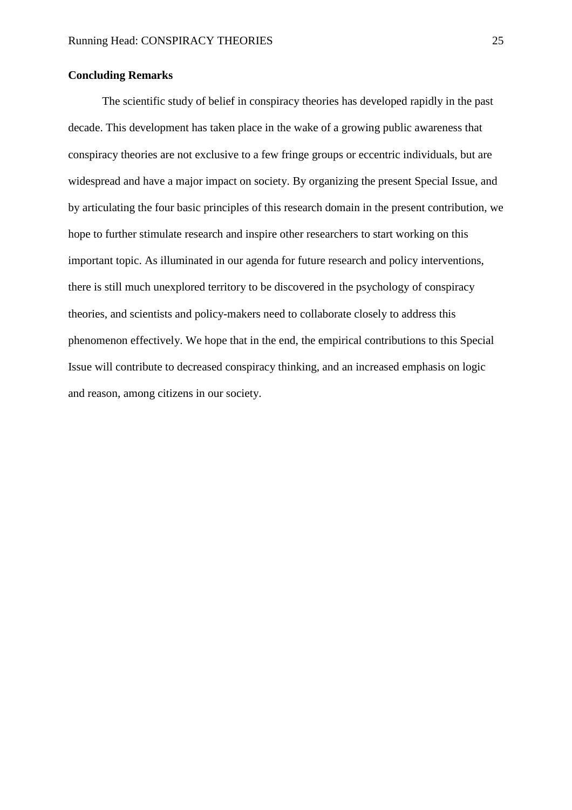## **Concluding Remarks**

The scientific study of belief in conspiracy theories has developed rapidly in the past decade. This development has taken place in the wake of a growing public awareness that conspiracy theories are not exclusive to a few fringe groups or eccentric individuals, but are widespread and have a major impact on society. By organizing the present Special Issue, and by articulating the four basic principles of this research domain in the present contribution, we hope to further stimulate research and inspire other researchers to start working on this important topic. As illuminated in our agenda for future research and policy interventions, there is still much unexplored territory to be discovered in the psychology of conspiracy theories, and scientists and policy-makers need to collaborate closely to address this phenomenon effectively. We hope that in the end, the empirical contributions to this Special Issue will contribute to decreased conspiracy thinking, and an increased emphasis on logic and reason, among citizens in our society.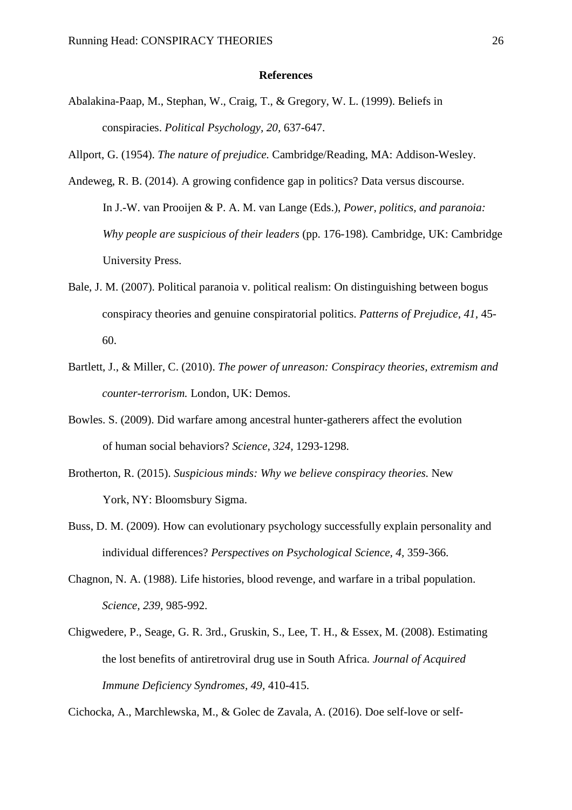#### **References**

Abalakina-Paap, M., Stephan, W., Craig, T., & Gregory, W. L. (1999). Beliefs in conspiracies. *Political Psychology, 20,* 637-647.

Allport, G. (1954). *The nature of prejudice.* Cambridge/Reading, MA: Addison-Wesley.

- Andeweg, R. B. (2014). A growing confidence gap in politics? Data versus discourse. In J.-W. van Prooijen & P. A. M. van Lange (Eds.), *Power, politics, and paranoia: Why people are suspicious of their leaders* (pp. 176-198)*.* Cambridge, UK: Cambridge University Press.
- Bale, J. M. (2007). Political paranoia v. political realism: On distinguishing between bogus conspiracy theories and genuine conspiratorial politics. *Patterns of Prejudice, 41,* 45- 60.
- Bartlett, J., & Miller, C. (2010). *The power of unreason: Conspiracy theories, extremism and counter-terrorism.* London, UK: Demos.
- Bowles. S. (2009). Did warfare among ancestral hunter-gatherers affect the evolution of human social behaviors? *Science, 324,* 1293-1298.
- Brotherton, R. (2015). *Suspicious minds: Why we believe conspiracy theories.* New York, NY: Bloomsbury Sigma.
- Buss, D. M. (2009). How can evolutionary psychology successfully explain personality and individual differences? *Perspectives on Psychological Science, 4,* 359-366.
- Chagnon, N. A. (1988). Life histories, blood revenge, and warfare in a tribal population. *Science, 239,* 985-992.
- Chigwedere, P., Seage, G. R. 3rd., Gruskin, S., Lee, T. H., & Essex, M. (2008). Estimating the lost benefits of antiretroviral drug use in South Africa. *Journal of Acquired Immune Deficiency Syndromes, 49,* 410-415.

Cichocka, A., Marchlewska, M., & Golec de Zavala, A. (2016). Doe self-love or self-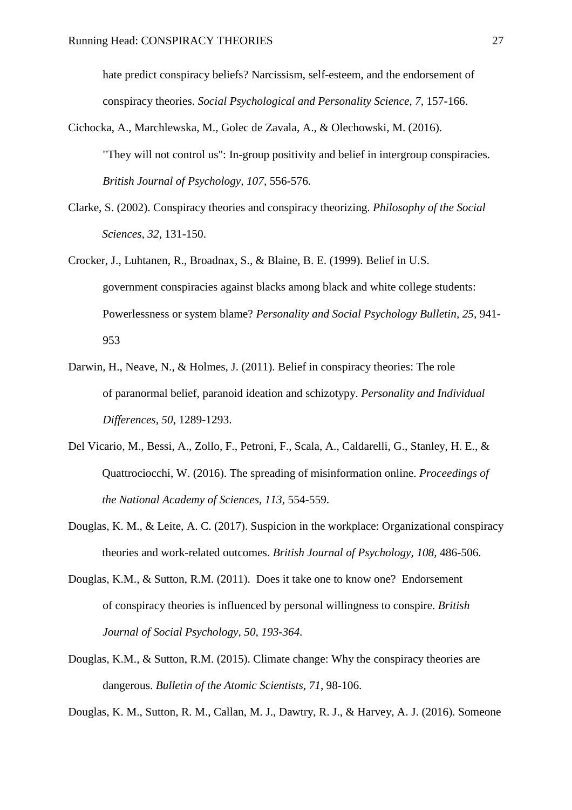hate predict conspiracy beliefs? Narcissism, self-esteem, and the endorsement of conspiracy theories. *Social Psychological and Personality Science, 7,* 157-166.

- Cichocka, A., Marchlewska, M., Golec de Zavala, A., & Olechowski, M. (2016). "They will not control us": In-group positivity and belief in intergroup conspiracies. *British Journal of Psychology, 107,* 556-576.
- Clarke, S. (2002). Conspiracy theories and conspiracy theorizing. *Philosophy of the Social Sciences, 32,* 131-150.
- Crocker, J., Luhtanen, R., Broadnax, S., & Blaine, B. E. (1999). Belief in U.S. government conspiracies against blacks among black and white college students: Powerlessness or system blame? *Personality and Social Psychology Bulletin, 25,* 941- 953
- Darwin, H., Neave, N., & Holmes, J. (2011). Belief in conspiracy theories: The role of paranormal belief, paranoid ideation and schizotypy. *Personality and Individual Differences, 50,* 1289-1293.
- Del Vicario, M., Bessi, A., Zollo, F., Petroni, F., Scala, A., Caldarelli, G., Stanley, H. E., & Quattrociocchi, W. (2016). The spreading of misinformation online. *Proceedings of the National Academy of Sciences, 113,* 554-559.
- Douglas, K. M., & Leite, A. C. (2017). Suspicion in the workplace: Organizational conspiracy theories and work-related outcomes. *British Journal of Psychology, 108,* 486-506.
- Douglas, K.M., & Sutton, R.M. (2011). Does it take one to know one? Endorsement of conspiracy theories is influenced by personal willingness to conspire. *British Journal of Social Psychology, 50, 193-364.*
- Douglas, K.M., & Sutton, R.M. (2015). Climate change: Why the conspiracy theories are dangerous. *Bulletin of the Atomic Scientists*, *71*, 98-106.

Douglas, K. M., Sutton, R. M., Callan, M. J., Dawtry, R. J., & Harvey, A. J. (2016). Someone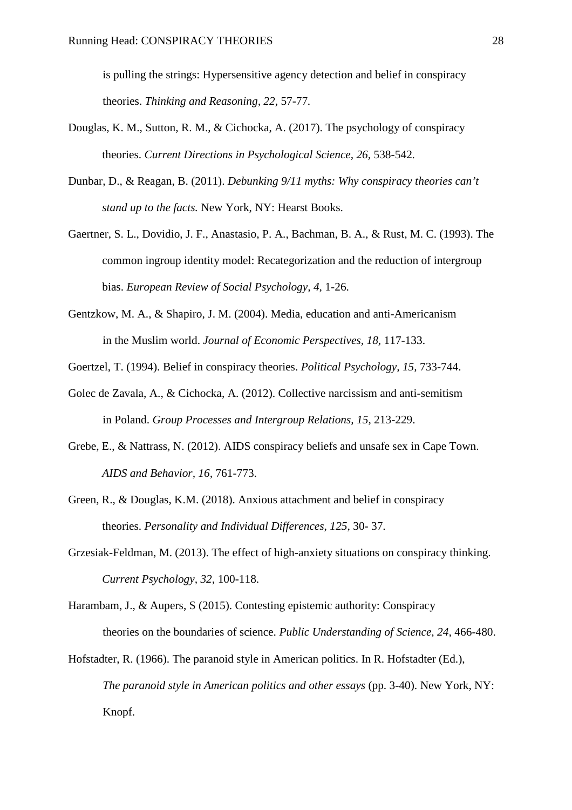is pulling the strings: Hypersensitive agency detection and belief in conspiracy theories. *Thinking and Reasoning, 22,* 57-77*.*

- Douglas, K. M., Sutton, R. M., & Cichocka, A. (2017). The psychology of conspiracy theories. *Current Directions in Psychological Science, 26,* 538-542*.*
- Dunbar, D., & Reagan, B. (2011). *Debunking 9/11 myths: Why conspiracy theories can't stand up to the facts.* New York, NY: Hearst Books.
- Gaertner, S. L., Dovidio, J. F., Anastasio, P. A., Bachman, B. A., & Rust, M. C. (1993). The common ingroup identity model: Recategorization and the reduction of intergroup bias. *European Review of Social Psychology, 4,* 1-26.
- Gentzkow, M. A., & Shapiro, J. M. (2004). Media, education and anti-Americanism in the Muslim world. *Journal of Economic Perspectives, 18,* 117-133.
- Goertzel, T. (1994). Belief in conspiracy theories. *Political Psychology, 15,* 733-744.
- Golec de Zavala, A., & Cichocka, A. (2012). Collective narcissism and anti-semitism in Poland. *Group Processes and Intergroup Relations, 15,* 213-229.
- Grebe, E., & Nattrass, N. (2012). AIDS conspiracy beliefs and unsafe sex in Cape Town. *AIDS and Behavior, 16,* 761-773.
- Green, R., & Douglas, K.M. (2018). Anxious attachment and belief in conspiracy theories. *Personality and Individual Differences*, *125*, 30- 37.
- Grzesiak-Feldman, M. (2013). The effect of high-anxiety situations on conspiracy thinking. *Current Psychology, 32,* 100-118.
- Harambam, J., & Aupers, S (2015). Contesting epistemic authority: Conspiracy theories on the boundaries of science. *Public Understanding of Science, 24,* 466-480.
- Hofstadter, R. (1966). The paranoid style in American politics. In R. Hofstadter (Ed.), *The paranoid style in American politics and other essays* (pp. 3-40). New York, NY: Knopf.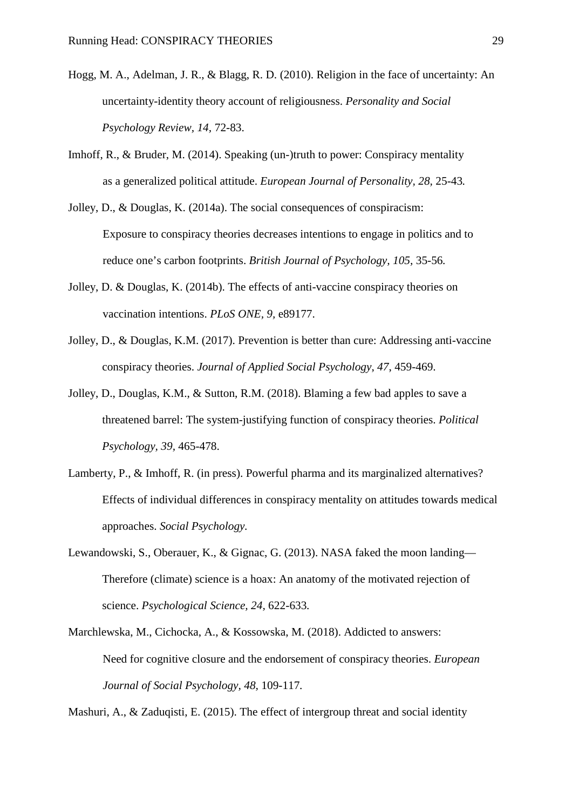- Hogg, M. A., Adelman, J. R., & Blagg, R. D. (2010). Religion in the face of uncertainty: An uncertainty-identity theory account of religiousness. *Personality and Social Psychology Review, 14,* 72-83.
- Imhoff, R., & Bruder, M. (2014). Speaking (un-)truth to power: Conspiracy mentality as a generalized political attitude. *European Journal of Personality, 28,* 25-43*.*
- Jolley, D., & Douglas, K. (2014a). The social consequences of conspiracism: Exposure to conspiracy theories decreases intentions to engage in politics and to reduce one's carbon footprints. *British Journal of Psychology, 105,* 35-56*.*
- Jolley, D. & Douglas, K. (2014b). The effects of anti-vaccine conspiracy theories on vaccination intentions. *PLoS ONE, 9,* e89177.
- Jolley, D., & Douglas, K.M. (2017). Prevention is better than cure: Addressing anti-vaccine conspiracy theories. *Journal of Applied Social Psychology*, *47*, 459-469.
- Jolley, D., Douglas, K.M., & Sutton, R.M. (2018). Blaming a few bad apples to save a threatened barrel: The system-justifying function of conspiracy theories. *Political Psychology, 39,* 465-478.
- Lamberty, P., & Imhoff, R. (in press). Powerful pharma and its marginalized alternatives? Effects of individual differences in conspiracy mentality on attitudes towards medical approaches. *Social Psychology.*
- Lewandowski, S., Oberauer, K., & Gignac, G. (2013). NASA faked the moon landing— Therefore (climate) science is a hoax: An anatomy of the motivated rejection of science. *Psychological Science, 24,* 622-633*.*
- Marchlewska, M., Cichocka, A., & Kossowska, M. (2018). Addicted to answers: Need for cognitive closure and the endorsement of conspiracy theories. *European Journal of Social Psychology, 48,* 109-117*.*

Mashuri, A., & Zaduqisti, E. (2015). The effect of intergroup threat and social identity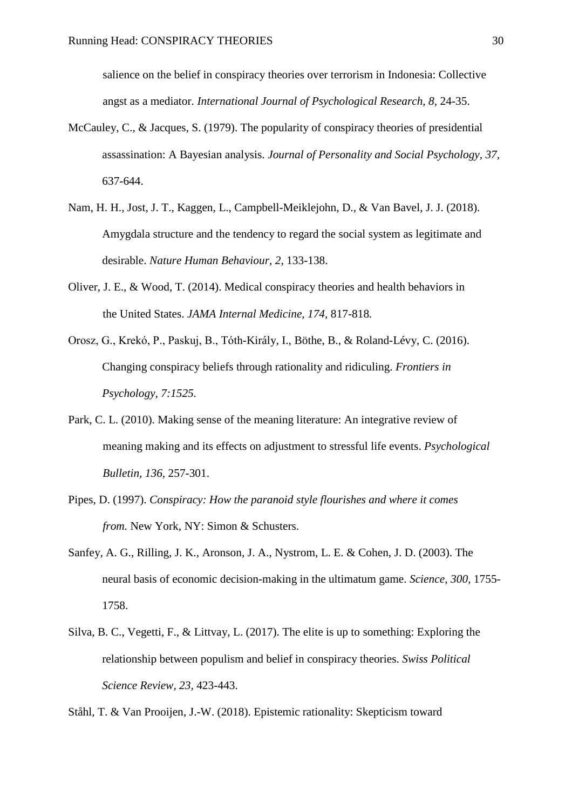salience on the belief in conspiracy theories over terrorism in Indonesia: Collective angst as a mediator. *International Journal of Psychological Research, 8,* 24-35.

- McCauley, C., & Jacques, S. (1979). The popularity of conspiracy theories of presidential assassination: A Bayesian analysis. *Journal of Personality and Social Psychology, 37,* 637-644.
- Nam, H. H., Jost, J. T., Kaggen, L., Campbell-Meiklejohn, D., & Van Bavel, J. J. (2018). Amygdala structure and the tendency to regard the social system as legitimate and desirable. *Nature Human Behaviour, 2,* 133-138.
- Oliver, J. E., & Wood, T. (2014). Medical conspiracy theories and health behaviors in the United States. *JAMA Internal Medicine, 174,* 817-818*.*
- Orosz, G., Krekó, P., Paskuj, B., Tóth-Király, I., Böthe, B., & Roland-Lévy, C. (2016). Changing conspiracy beliefs through rationality and ridiculing. *Frontiers in Psychology, 7:1525.*
- Park, C. L. (2010). Making sense of the meaning literature: An integrative review of meaning making and its effects on adjustment to stressful life events. *Psychological Bulletin, 136,* 257-301.
- Pipes, D. (1997). *Conspiracy: How the paranoid style flourishes and where it comes from.* New York, NY: Simon & Schusters.
- Sanfey, A. G., Rilling, J. K., Aronson, J. A., Nystrom, L. E. & Cohen, J. D. (2003). The neural basis of economic decision-making in the ultimatum game. *Science, 300,* 1755- 1758.
- Silva, B. C., Vegetti, F., & Littvay, L. (2017). The elite is up to something: Exploring the relationship between populism and belief in conspiracy theories. *Swiss Political Science Review, 23,* 423-443.

Ståhl, T. & Van Prooijen, J.-W. (2018). Epistemic rationality: Skepticism toward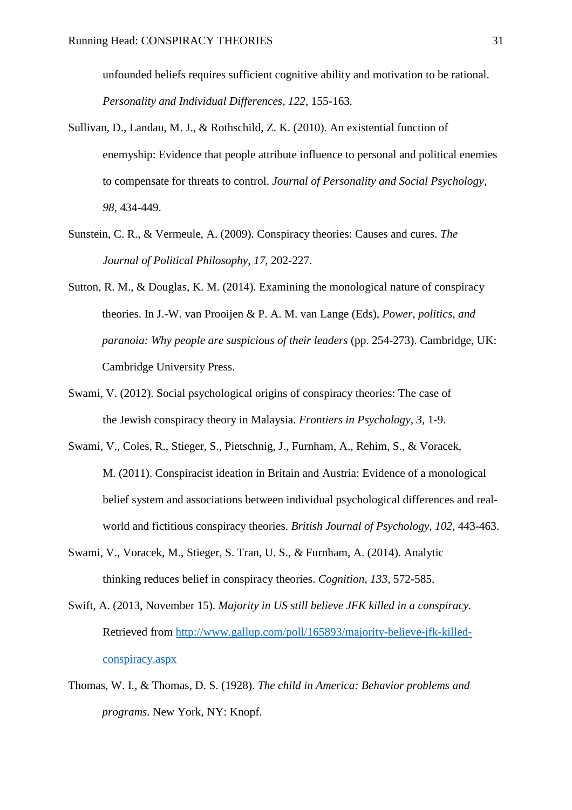unfounded beliefs requires sufficient cognitive ability and motivation to be rational. *Personality and Individual Differences, 122,* 155-163*.*

- Sullivan, D., Landau, M. J., & Rothschild, Z. K. (2010). An existential function of enemyship: Evidence that people attribute influence to personal and political enemies to compensate for threats to control. *Journal of Personality and Social Psychology, 98,* 434-449.
- Sunstein, C. R., & Vermeule, A. (2009). Conspiracy theories: Causes and cures. *The Journal of Political Philosophy, 17,* 202-227.
- Sutton, R. M., & Douglas, K. M. (2014). Examining the monological nature of conspiracy theories. In J.-W. van Prooijen & P. A. M. van Lange (Eds), *Power, politics, and paranoia: Why people are suspicious of their leaders (pp. 254-273). Cambridge, UK:* Cambridge University Press.
- Swami, V. (2012). Social psychological origins of conspiracy theories: The case of the Jewish conspiracy theory in Malaysia. *Frontiers in Psychology, 3,* 1-9.
- Swami, V., Coles, R., Stieger, S., Pietschnig, J., Furnham, A., Rehim, S., & Voracek, M. (2011). Conspiracist ideation in Britain and Austria: Evidence of a monological belief system and associations between individual psychological differences and realworld and fictitious conspiracy theories. *British Journal of Psychology, 102,* 443-463.
- Swami, V., Voracek, M., Stieger, S. Tran, U. S., & Furnham, A. (2014). Analytic thinking reduces belief in conspiracy theories. *Cognition, 133,* 572-585.
- Swift, A. (2013, November 15). *Majority in US still believe JFK killed in a conspiracy.* Retrieved from [http://www.gallup.com/poll/165893/majority-believe-jfk-killed](http://www.gallup.com/poll/165893/majority-believe-jfk-killed-conspiracy.aspx)[conspiracy.aspx](http://www.gallup.com/poll/165893/majority-believe-jfk-killed-conspiracy.aspx)
- Thomas, W. I., & Thomas, D. S. (1928). *The child in America: Behavior problems and programs.* New York, NY: Knopf.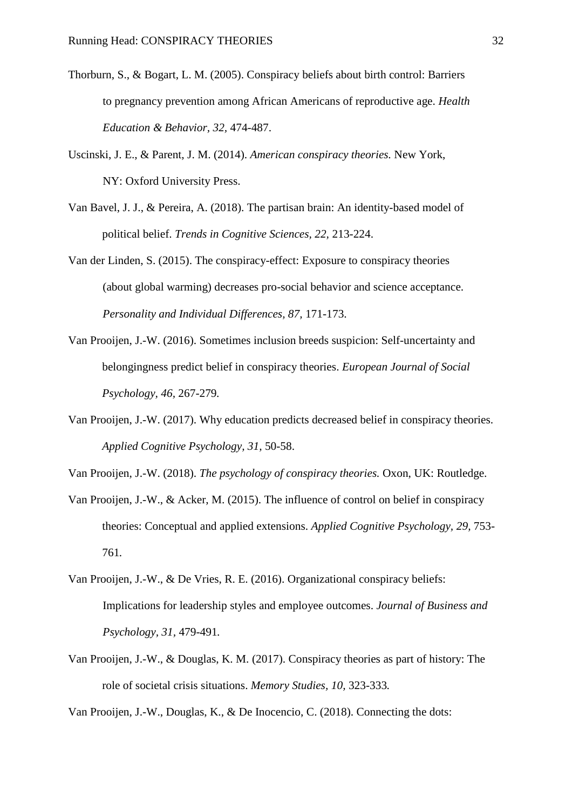- Thorburn, S., & Bogart, L. M. (2005). Conspiracy beliefs about birth control: Barriers to pregnancy prevention among African Americans of reproductive age. *Health Education & Behavior, 32,* 474-487.
- Uscinski, J. E., & Parent, J. M. (2014). *American conspiracy theories.* New York, NY: Oxford University Press.
- Van Bavel, J. J., & Pereira, A. (2018). The partisan brain: An identity-based model of political belief. *Trends in Cognitive Sciences, 22,* 213-224.
- Van der Linden, S. (2015). The conspiracy-effect: Exposure to conspiracy theories (about global warming) decreases pro-social behavior and science acceptance. *Personality and Individual Differences, 87,* 171-173.
- Van Prooijen, J.-W. (2016). Sometimes inclusion breeds suspicion: Self-uncertainty and belongingness predict belief in conspiracy theories. *European Journal of Social Psychology, 46,* 267-279*.*
- Van Prooijen, J.-W. (2017). Why education predicts decreased belief in conspiracy theories. *Applied Cognitive Psychology, 31,* 50-58.
- Van Prooijen, J.-W. (2018). *The psychology of conspiracy theories.* Oxon, UK: Routledge.
- Van Prooijen, J.-W., & Acker, M. (2015). The influence of control on belief in conspiracy theories: Conceptual and applied extensions. *Applied Cognitive Psychology, 29,* 753- 761*.*
- Van Prooijen, J.-W., & De Vries, R. E. (2016). Organizational conspiracy beliefs: Implications for leadership styles and employee outcomes. *Journal of Business and Psychology, 31,* 479-491*.*
- Van Prooijen, J.-W., & Douglas, K. M. (2017). Conspiracy theories as part of history: The role of societal crisis situations. *Memory Studies, 10,* 323-333*.*

Van Prooijen, J.-W., Douglas, K., & De Inocencio, C. (2018). Connecting the dots: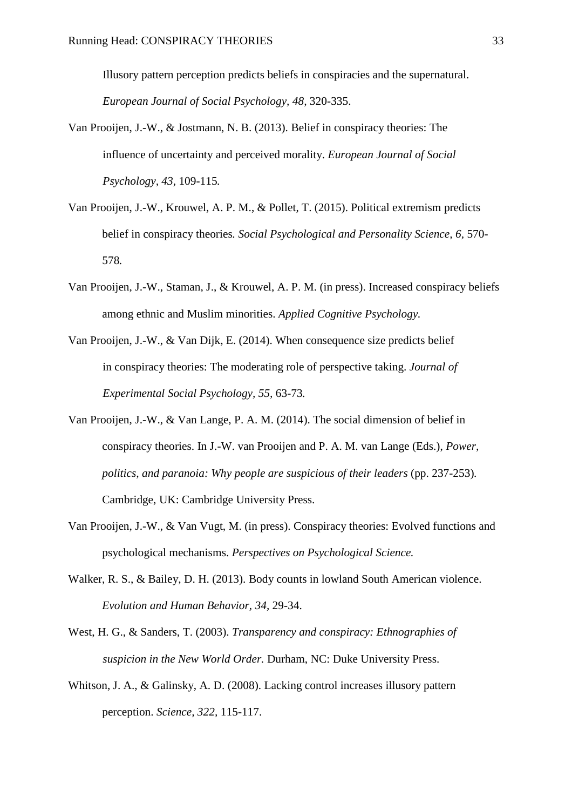Illusory pattern perception predicts beliefs in conspiracies and the supernatural. *European Journal of Social Psychology, 48,* 320-335.

- Van Prooijen, J.-W., & Jostmann, N. B. (2013). Belief in conspiracy theories: The influence of uncertainty and perceived morality. *European Journal of Social Psychology, 43,* 109-115*.*
- Van Prooijen, J.-W., Krouwel, A. P. M., & Pollet, T. (2015). Political extremism predicts belief in conspiracy theories*. Social Psychological and Personality Science, 6,* 570- 578*.*
- Van Prooijen, J.-W., Staman, J., & Krouwel, A. P. M. (in press). Increased conspiracy beliefs among ethnic and Muslim minorities. *Applied Cognitive Psychology.*
- Van Prooijen, J.-W., & Van Dijk, E. (2014). When consequence size predicts belief in conspiracy theories: The moderating role of perspective taking. *Journal of Experimental Social Psychology, 55,* 63-73*.*
- Van Prooijen, J.-W., & Van Lange, P. A. M. (2014). The social dimension of belief in conspiracy theories. In J.-W. van Prooijen and P. A. M. van Lange (Eds.), *Power, politics, and paranoia: Why people are suspicious of their leaders (pp. 237-253).* Cambridge, UK: Cambridge University Press.
- Van Prooijen, J.-W., & Van Vugt, M. (in press). Conspiracy theories: Evolved functions and psychological mechanisms. *Perspectives on Psychological Science.*
- Walker, R. S., & Bailey, D. H. (2013). Body counts in lowland South American violence. *Evolution and Human Behavior, 34,* 29-34.
- West, H. G., & Sanders, T. (2003). *Transparency and conspiracy: Ethnographies of suspicion in the New World Order.* Durham, NC: Duke University Press.
- Whitson, J. A., & Galinsky, A. D. (2008). Lacking control increases illusory pattern perception. *Science, 322,* 115-117.